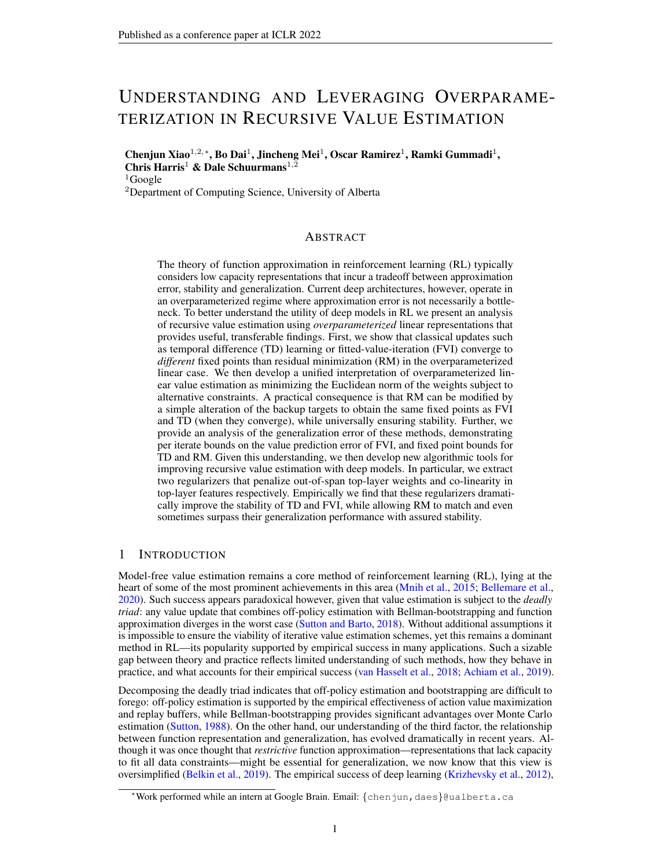## UNDERSTANDING AND LEVERAGING OVERPARAME-TERIZATION IN RECURSIVE VALUE ESTIMATION

Chenjun Xiao<sup>1,2,∗</sup>, Bo Dai<sup>1</sup>, Jincheng Mei<sup>1</sup>, Oscar Ramirez<sup>1</sup>, Ramki Gummadi<sup>1</sup>, Chris Harris<sup>1</sup> & Dale Schuurmans<sup>1,2</sup>  $1$ Google

<sup>2</sup>Department of Computing Science, University of Alberta

## ABSTRACT

The theory of function approximation in reinforcement learning (RL) typically considers low capacity representations that incur a tradeoff between approximation error, stability and generalization. Current deep architectures, however, operate in an overparameterized regime where approximation error is not necessarily a bottleneck. To better understand the utility of deep models in RL we present an analysis of recursive value estimation using *overparameterized* linear representations that provides useful, transferable findings. First, we show that classical updates such as temporal difference (TD) learning or fitted-value-iteration (FVI) converge to *different* fixed points than residual minimization (RM) in the overparameterized linear case. We then develop a unified interpretation of overparameterized linear value estimation as minimizing the Euclidean norm of the weights subject to alternative constraints. A practical consequence is that RM can be modified by a simple alteration of the backup targets to obtain the same fixed points as FVI and TD (when they converge), while universally ensuring stability. Further, we provide an analysis of the generalization error of these methods, demonstrating per iterate bounds on the value prediction error of FVI, and fixed point bounds for TD and RM. Given this understanding, we then develop new algorithmic tools for improving recursive value estimation with deep models. In particular, we extract two regularizers that penalize out-of-span top-layer weights and co-linearity in top-layer features respectively. Empirically we find that these regularizers dramatically improve the stability of TD and FVI, while allowing RM to match and even sometimes surpass their generalization performance with assured stability.

## 1 INTRODUCTION

Model-free value estimation remains a core method of reinforcement learning (RL), lying at the heart of some of the most prominent achievements in this area [\(Mnih et al.,](#page-11-0) [2015;](#page-11-0) [Bellemare et al.,](#page-9-0) [2020\)](#page-9-0). Such success appears paradoxical however, given that value estimation is subject to the *deadly triad*: any value update that combines off-policy estimation with Bellman-bootstrapping and function approximation diverges in the worst case [\(Sutton and Barto,](#page-11-1) [2018\)](#page-11-1). Without additional assumptions it is impossible to ensure the viability of iterative value estimation schemes, yet this remains a dominant method in RL—its popularity supported by empirical success in many applications. Such a sizable gap between theory and practice reflects limited understanding of such methods, how they behave in practice, and what accounts for their empirical success [\(van Hasselt et al.,](#page-12-0) [2018;](#page-12-0) [Achiam et al.,](#page-9-1) [2019\)](#page-9-1).

Decomposing the deadly triad indicates that off-policy estimation and bootstrapping are difficult to forego: off-policy estimation is supported by the empirical effectiveness of action value maximization and replay buffers, while Bellman-bootstrapping provides significant advantages over Monte Carlo estimation [\(Sutton,](#page-11-2) [1988\)](#page-11-2). On the other hand, our understanding of the third factor, the relationship between function representation and generalization, has evolved dramatically in recent years. Although it was once thought that *restrictive* function approximation—representations that lack capacity to fit all data constraints—might be essential for generalization, we now know that this view is oversimplified [\(Belkin et al.,](#page-9-2) [2019\)](#page-9-2). The empirical success of deep learning [\(Krizhevsky et al.,](#page-10-0) [2012\)](#page-10-0),

<sup>∗</sup>Work performed while an intern at Google Brain. Email: {chenjun,daes}@ualberta.ca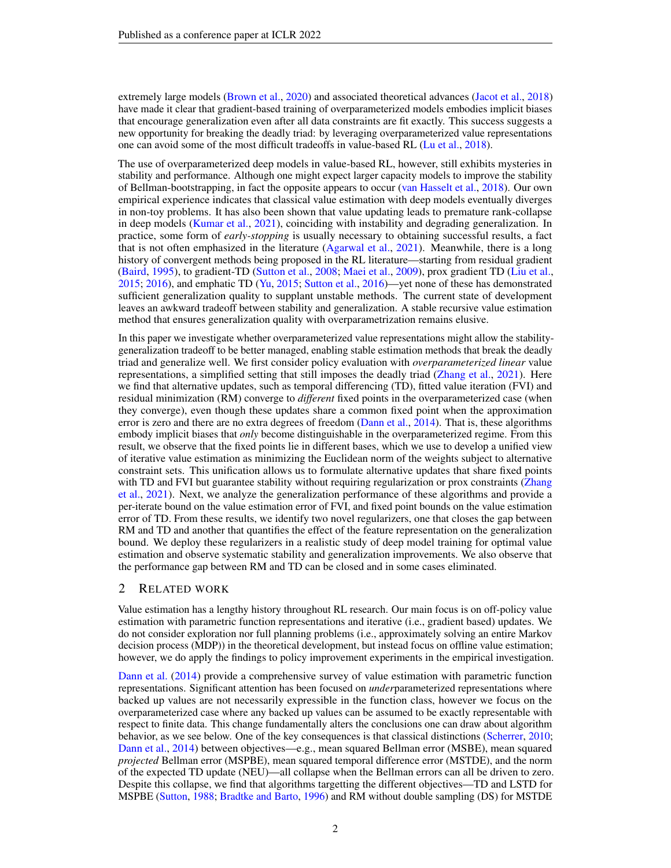extremely large models [\(Brown et al.,](#page-9-3) [2020\)](#page-9-3) and associated theoretical advances [\(Jacot et al.,](#page-10-1) [2018\)](#page-10-1) have made it clear that gradient-based training of overparameterized models embodies implicit biases that encourage generalization even after all data constraints are fit exactly. This success suggests a new opportunity for breaking the deadly triad: by leveraging overparameterized value representations one can avoid some of the most difficult tradeoffs in value-based RL [\(Lu et al.,](#page-11-3) [2018\)](#page-11-3).

The use of overparameterized deep models in value-based RL, however, still exhibits mysteries in stability and performance. Although one might expect larger capacity models to improve the stability of Bellman-bootstrapping, in fact the opposite appears to occur [\(van Hasselt et al.,](#page-12-0) [2018\)](#page-12-0). Our own empirical experience indicates that classical value estimation with deep models eventually diverges in non-toy problems. It has also been shown that value updating leads to premature rank-collapse in deep models [\(Kumar et al.,](#page-10-2) [2021\)](#page-10-2), coinciding with instability and degrading generalization. In practice, some form of *early-stopping* is usually necessary to obtaining successful results, a fact that is not often emphasized in the literature [\(Agarwal et al.,](#page-9-4) [2021\)](#page-9-4). Meanwhile, there is a long history of convergent methods being proposed in the RL literature—starting from residual gradient [\(Baird,](#page-9-5) [1995\)](#page-9-5), to gradient-TD [\(Sutton et al.,](#page-12-1) [2008;](#page-12-1) [Maei et al.,](#page-11-4) [2009\)](#page-11-4), prox gradient TD [\(Liu et al.,](#page-11-5) [2015;](#page-11-5) [2016\)](#page-11-6), and emphatic TD [\(Yu,](#page-12-2) [2015;](#page-12-2) [Sutton et al.,](#page-12-3) [2016\)](#page-12-3)—yet none of these has demonstrated sufficient generalization quality to supplant unstable methods. The current state of development leaves an awkward tradeoff between stability and generalization. A stable recursive value estimation method that ensures generalization quality with overparametrization remains elusive.

In this paper we investigate whether overparameterized value representations might allow the stabilitygeneralization tradeoff to be better managed, enabling stable estimation methods that break the deadly triad and generalize well. We first consider policy evaluation with *overparameterized linear* value representations, a simplified setting that still imposes the deadly triad [\(Zhang et al.,](#page-12-4) [2021\)](#page-12-4). Here we find that alternative updates, such as temporal differencing (TD), fitted value iteration (FVI) and residual minimization (RM) converge to *different* fixed points in the overparameterized case (when they converge), even though these updates share a common fixed point when the approximation error is zero and there are no extra degrees of freedom [\(Dann et al.,](#page-10-3) [2014\)](#page-10-3). That is, these algorithms embody implicit biases that *only* become distinguishable in the overparameterized regime. From this result, we observe that the fixed points lie in different bases, which we use to develop a unified view of iterative value estimation as minimizing the Euclidean norm of the weights subject to alternative constraint sets. This unification allows us to formulate alternative updates that share fixed points with TD and FVI but guarantee stability without requiring regularization or prox constraints [\(Zhang](#page-12-4) [et al.,](#page-12-4) [2021\)](#page-12-4). Next, we analyze the generalization performance of these algorithms and provide a per-iterate bound on the value estimation error of FVI, and fixed point bounds on the value estimation error of TD. From these results, we identify two novel regularizers, one that closes the gap between RM and TD and another that quantifies the effect of the feature representation on the generalization bound. We deploy these regularizers in a realistic study of deep model training for optimal value estimation and observe systematic stability and generalization improvements. We also observe that the performance gap between RM and TD can be closed and in some cases eliminated.

## 2 RELATED WORK

Value estimation has a lengthy history throughout RL research. Our main focus is on off-policy value estimation with parametric function representations and iterative (i.e., gradient based) updates. We do not consider exploration nor full planning problems (i.e., approximately solving an entire Markov decision process (MDP)) in the theoretical development, but instead focus on offline value estimation; however, we do apply the findings to policy improvement experiments in the empirical investigation.

[Dann et al.](#page-10-3) [\(2014\)](#page-10-3) provide a comprehensive survey of value estimation with parametric function representations. Significant attention has been focused on *under*parameterized representations where backed up values are not necessarily expressible in the function class, however we focus on the overparameterized case where any backed up values can be assumed to be exactly representable with respect to finite data. This change fundamentally alters the conclusions one can draw about algorithm behavior, as we see below. One of the key consequences is that classical distinctions [\(Scherrer,](#page-11-7) [2010;](#page-11-7) [Dann et al.,](#page-10-3) [2014\)](#page-10-3) between objectives—e.g., mean squared Bellman error (MSBE), mean squared *projected* Bellman error (MSPBE), mean squared temporal difference error (MSTDE), and the norm of the expected TD update (NEU)—all collapse when the Bellman errors can all be driven to zero. Despite this collapse, we find that algorithms targetting the different objectives—TD and LSTD for MSPBE [\(Sutton,](#page-11-2) [1988;](#page-11-2) [Bradtke and Barto,](#page-9-6) [1996\)](#page-9-6) and RM without double sampling (DS) for MSTDE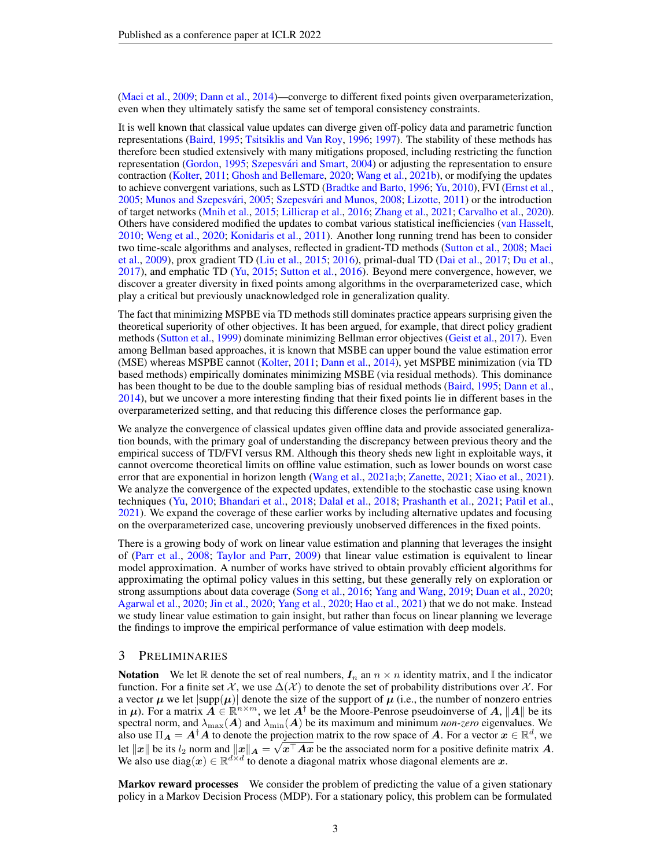[\(Maei et al.,](#page-11-4) [2009;](#page-11-4) [Dann et al.,](#page-10-3) [2014\)](#page-10-3)—converge to different fixed points given overparameterization, even when they ultimately satisfy the same set of temporal consistency constraints.

It is well known that classical value updates can diverge given off-policy data and parametric function representations [\(Baird,](#page-9-5) [1995;](#page-9-5) [Tsitsiklis and Van Roy,](#page-12-5) [1996;](#page-12-5) [1997\)](#page-12-6). The stability of these methods has therefore been studied extensively with many mitigations proposed, including restricting the function representation [\(Gordon,](#page-10-4) [1995;](#page-10-4) Szepesvári and Smart, [2004\)](#page-12-7) or adjusting the representation to ensure contraction [\(Kolter,](#page-10-5) [2011;](#page-10-5) [Ghosh and Bellemare,](#page-10-6) [2020;](#page-10-6) [Wang et al.,](#page-12-8) [2021b\)](#page-12-8), or modifying the updates to achieve convergent variations, such as LSTD [\(Bradtke and Barto,](#page-9-6) [1996;](#page-9-6) [Yu,](#page-12-9) [2010\)](#page-12-9), FVI [\(Ernst et al.,](#page-10-7) [2005;](#page-11-8) Munos and Szepesvári, 2005; Szepesvári and Munos, [2008;](#page-12-10) [Lizotte,](#page-11-9) [2011\)](#page-11-9) or the introduction of target networks [\(Mnih et al.,](#page-11-0) [2015;](#page-11-0) [Lillicrap et al.,](#page-10-8) [2016;](#page-10-8) [Zhang et al.,](#page-12-4) [2021;](#page-12-4) [Carvalho et al.,](#page-9-7) [2020\)](#page-9-7). Others have considered modified the updates to combat various statistical inefficiencies [\(van Hasselt,](#page-12-11) [2010;](#page-12-11) [Weng et al.,](#page-12-12) [2020;](#page-12-12) [Konidaris et al.,](#page-10-9) [2011\)](#page-10-9). Another long running trend has been to consider two time-scale algorithms and analyses, reflected in gradient-TD methods [\(Sutton et al.,](#page-12-1) [2008;](#page-12-1) [Maei](#page-11-4) [et al.,](#page-11-4) [2009\)](#page-11-4), prox gradient TD [\(Liu et al.,](#page-11-5) [2015;](#page-11-5) [2016\)](#page-11-6), primal-dual TD [\(Dai et al.,](#page-9-8) [2017;](#page-9-8) [Du et al.,](#page-10-10) [2017\)](#page-10-10), and emphatic TD [\(Yu,](#page-12-2) [2015;](#page-12-2) [Sutton et al.,](#page-12-3) [2016\)](#page-12-3). Beyond mere convergence, however, we discover a greater diversity in fixed points among algorithms in the overparameterized case, which play a critical but previously unacknowledged role in generalization quality.

The fact that minimizing MSPBE via TD methods still dominates practice appears surprising given the theoretical superiority of other objectives. It has been argued, for example, that direct policy gradient methods [\(Sutton et al.,](#page-11-10) [1999\)](#page-11-10) dominate minimizing Bellman error objectives [\(Geist et al.,](#page-10-11) [2017\)](#page-10-11). Even among Bellman based approaches, it is known that MSBE can upper bound the value estimation error (MSE) whereas MSPBE cannot [\(Kolter,](#page-10-5) [2011;](#page-10-5) [Dann et al.,](#page-10-3) [2014\)](#page-10-3), yet MSPBE minimization (via TD based methods) empirically dominates minimizing MSBE (via residual methods). This dominance has been thought to be due to the double sampling bias of residual methods [\(Baird,](#page-9-5) [1995;](#page-9-5) [Dann et al.,](#page-10-3) [2014\)](#page-10-3), but we uncover a more interesting finding that their fixed points lie in different bases in the overparameterized setting, and that reducing this difference closes the performance gap.

We analyze the convergence of classical updates given offline data and provide associated generalization bounds, with the primary goal of understanding the discrepancy between previous theory and the empirical success of TD/FVI versus RM. Although this theory sheds new light in exploitable ways, it cannot overcome theoretical limits on offline value estimation, such as lower bounds on worst case error that are exponential in horizon length [\(Wang et al.,](#page-12-13) [2021a;](#page-12-13)[b;](#page-12-8) [Zanette,](#page-12-14) [2021;](#page-12-14) [Xiao et al.,](#page-12-15) [2021\)](#page-12-15). We analyze the convergence of the expected updates, extendible to the stochastic case using known techniques [\(Yu,](#page-12-9) [2010;](#page-12-9) [Bhandari et al.,](#page-9-9) [2018;](#page-9-9) [Dalal et al.,](#page-9-10) [2018;](#page-9-10) [Prashanth et al.,](#page-11-11) [2021;](#page-11-11) [Patil et al.,](#page-11-12) [2021\)](#page-11-12). We expand the coverage of these earlier works by including alternative updates and focusing on the overparameterized case, uncovering previously unobserved differences in the fixed points.

There is a growing body of work on linear value estimation and planning that leverages the insight of [\(Parr et al.,](#page-11-13) [2008;](#page-11-13) [Taylor and Parr,](#page-12-16) [2009\)](#page-12-16) that linear value estimation is equivalent to linear model approximation. A number of works have strived to obtain provably efficient algorithms for approximating the optimal policy values in this setting, but these generally rely on exploration or strong assumptions about data coverage [\(Song et al.,](#page-11-14) [2016;](#page-11-14) [Yang and Wang,](#page-12-17) [2019;](#page-12-17) [Duan et al.,](#page-10-12) [2020;](#page-10-12) [Agarwal et al.,](#page-9-11) [2020;](#page-9-11) [Jin et al.,](#page-10-13) [2020;](#page-10-13) [Yang et al.,](#page-12-18) [2020;](#page-12-18) [Hao et al.,](#page-10-14) [2021\)](#page-10-14) that we do not make. Instead we study linear value estimation to gain insight, but rather than focus on linear planning we leverage the findings to improve the empirical performance of value estimation with deep models.

## 3 PRELIMINARIES

**Notation** We let R denote the set of real numbers,  $I_n$  an  $n \times n$  identity matrix, and I the indicator function. For a finite set  $\mathcal{X}$ , we use  $\Delta(\mathcal{X})$  to denote the set of probability distributions over  $\mathcal{X}$ . For a vector  $\mu$  we let  $|\text{supp}(\mu)|$  denote the size of the support of  $\mu$  (i.e., the number of nonzero entries in  $\mu$ ). For a matrix  $\vec{A} \in \mathbb{R}^{n \times m}$ , we let  $A^{\dagger}$  be the Moore-Penrose pseudoinverse of A, ||A|| be its spectral norm, and  $\lambda_{\max}(A)$  and  $\lambda_{\min}(A)$  be its maximum and minimum *non-zero* eigenvalues. We also use  $\Pi_A = A^{\dagger} A$  to denote the projection matrix to the row space of A. For a vector  $x \in \mathbb{R}^d$ , we let  $\|x\|$  be its  $l_2$  norm and  $\|x\|_A = \sqrt{x^{\top} A x}$  be the associated norm for a positive definite matrix  $A$ . We also use  $\text{diag}(x) \in \mathbb{R}^{d \times d}$  to denote a diagonal matrix whose diagonal elements are x.

Markov reward processes We consider the problem of predicting the value of a given stationary policy in a Markov Decision Process (MDP). For a stationary policy, this problem can be formulated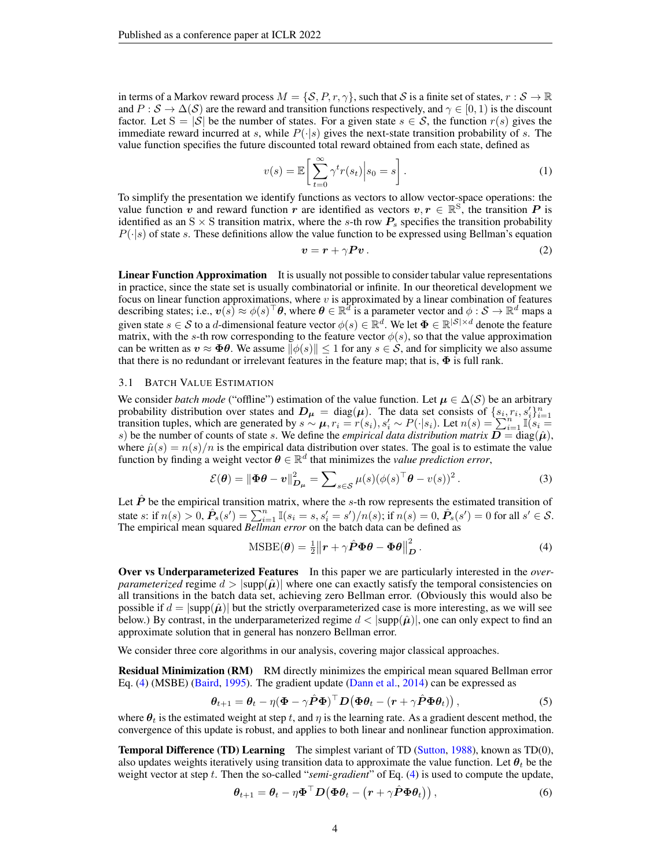in terms of a Markov reward process  $M = \{S, P, r, \gamma\}$ , such that S is a finite set of states,  $r : S \to \mathbb{R}$ and  $P : S \to \Delta(S)$  are the reward and transition functions respectively, and  $\gamma \in [0, 1)$  is the discount factor. Let  $S = |\mathcal{S}|$  be the number of states. For a given state  $s \in \mathcal{S}$ , the function  $r(s)$  gives the immediate reward incurred at s, while  $P(\cdot|s)$  gives the next-state transition probability of s. The value function specifies the future discounted total reward obtained from each state, defined as

$$
v(s) = \mathbb{E}\left[\sum_{t=0}^{\infty} \gamma^t r(s_t) \middle| s_0 = s\right].
$$
 (1)

To simplify the presentation we identify functions as vectors to allow vector-space operations: the value function  $\vec{v}$  and reward function  $\vec{r}$  are identified as vectors  $v, r \in \mathbb{R}^S$ , the transition  $P$  is identified as an  $S \times S$  transition matrix, where the s-th row  $P_s$  specifies the transition probability  $P(\cdot|s)$  of state s. These definitions allow the value function to be expressed using Bellman's equation

$$
v = r + \gamma P v. \tag{2}
$$

Linear Function Approximation It is usually not possible to consider tabular value representations in practice, since the state set is usually combinatorial or infinite. In our theoretical development we focus on linear function approximations, where  $v$  is approximated by a linear combination of features describing states; i.e.,  $v(s) \approx \phi(s)^\top \theta$ , where  $\theta \in \mathbb{R}^d$  is a parameter vector and  $\phi: \mathcal{S} \to \mathbb{R}^d$  maps a given state  $s \in S$  to a d-dimensional feature vector  $\phi(s) \in \mathbb{R}^d$ . We let  $\Phi \in \mathbb{R}^{|S| \times d}$  denote the feature matrix, with the s-th row corresponding to the feature vector  $\phi(s)$ , so that the value approximation can be written as  $v \approx \Phi \theta$ . We assume  $\|\phi(s)\| \leq 1$  for any  $s \in \mathcal{S}$ , and for simplicity we also assume that there is no redundant or irrelevant features in the feature map; that is,  $\Phi$  is full rank.

## <span id="page-3-2"></span>3.1 BATCH VALUE ESTIMATION

We consider *batch mode* ("offline") estimation of the value function. Let  $\mu \in \Delta(S)$  be an arbitrary probability distribution over states and  $D_{\mu} = \text{diag}(\mu)$ . The data set consists of  $\{s_i, r_i, s'_i\}_{i=1}^n$ probability distribution over states and  $D_{\mu} = \text{diag}(\mu)$ . The data set consists of  $\{s_i, r_i, s_i\}_{i=1}^{n}$ <br>transition tuples, which are generated by  $s \sim \mu$ ,  $r_i = r(s_i)$ ,  $s'_i \sim P(\cdot|s_i)$ . Let  $n(s) = \sum_{i=1}^{n} \mathbb{I}(s_i =$ s) be the number of counts of state s. We define the *empirical data distribution matrix*  $\vec{D} = \text{diag}(\hat{\mu})$ , where  $\hat{\mu}(s) = n(s)/n$  is the empirical data distribution over states. The goal is to estimate the value function by finding a weight vector  $\boldsymbol{\theta} \in \mathbb{R}^d$  that minimizes the *value prediction error*,

$$
\mathcal{E}(\boldsymbol{\theta}) = \left\| \boldsymbol{\Phi} \boldsymbol{\theta} - \boldsymbol{v} \right\|_{\boldsymbol{D}_{\boldsymbol{\mu}}}^2 = \sum_{s \in \mathcal{S}} \mu(s) (\phi(s)^{\top} \boldsymbol{\theta} - v(s))^2.
$$
 (3)

Let  $\hat{P}$  be the empirical transition matrix, where the s-th row represents the estimated transition of state s: if  $n(s) > 0$ ,  $\hat{P}_s(s') = \sum_{i=1}^n \mathbb{I}(s_i = s, s'_i = s')/n(s)$ ; if  $n(s) = 0$ ,  $\hat{P}_s(s') = 0$  for all  $s' \in S$ . The empirical mean squared *Bellman error* on the batch data can be defined as

<span id="page-3-0"></span>
$$
\text{MSBE}(\boldsymbol{\theta}) = \frac{1}{2} ||\boldsymbol{r} + \gamma \hat{\boldsymbol{P}} \boldsymbol{\Phi} \boldsymbol{\theta} - \boldsymbol{\Phi} \boldsymbol{\theta}||_{\boldsymbol{D}}^2. \tag{4}
$$

Over vs Underparameterized Features In this paper we are particularly interested in the *overparameterized* regime  $d > |\text{supp}(\hat{\mu})|$  where one can exactly satisfy the temporal consistencies on all transitions in the batch data set, achieving zero Bellman error. (Obviously this would also be possible if  $d = |\text{supp}(\hat{\mu})|$  but the strictly overparameterized case is more interesting, as we will see below.) By contrast, in the underparameterized regime  $d < |supp(\hat{\mu})|$ , one can only expect to find an approximate solution that in general has nonzero Bellman error.

We consider three core algorithms in our analysis, covering major classical approaches.

Residual Minimization (RM) RM directly minimizes the empirical mean squared Bellman error Eq. [\(4\)](#page-3-0) (MSBE) [\(Baird,](#page-9-5) [1995\)](#page-9-5). The gradient update [\(Dann et al.,](#page-10-3) [2014\)](#page-10-3) can be expressed as

$$
\boldsymbol{\theta}_{t+1} = \boldsymbol{\theta}_t - \eta (\boldsymbol{\Phi} - \gamma \hat{\boldsymbol{P}} \boldsymbol{\Phi})^\top \boldsymbol{D} (\boldsymbol{\Phi} \boldsymbol{\theta}_t - (\boldsymbol{r} + \gamma \hat{\boldsymbol{P}} \boldsymbol{\Phi} \boldsymbol{\theta}_t)), \qquad (5)
$$

where  $\theta_t$  is the estimated weight at step t, and  $\eta$  is the learning rate. As a gradient descent method, the convergence of this update is robust, and applies to both linear and nonlinear function approximation.

<span id="page-3-1"></span>**Temporal Difference (TD) Learning** The simplest variant of TD [\(Sutton,](#page-11-2) [1988\)](#page-11-2), known as TD(0), also updates weights iteratively using transition data to approximate the value function. Let  $\theta_t$  be the weight vector at step t. Then the so-called "*semi-gradient*" of Eq. [\(4\)](#page-3-0) is used to compute the update,

<span id="page-3-3"></span>
$$
\boldsymbol{\theta}_{t+1} = \boldsymbol{\theta}_t - \eta \boldsymbol{\Phi}^\top \boldsymbol{D} \big( \boldsymbol{\Phi} \boldsymbol{\theta}_t - \big( \boldsymbol{r} + \gamma \hat{\boldsymbol{P}} \boldsymbol{\Phi} \boldsymbol{\theta}_t \big) \big), \tag{6}
$$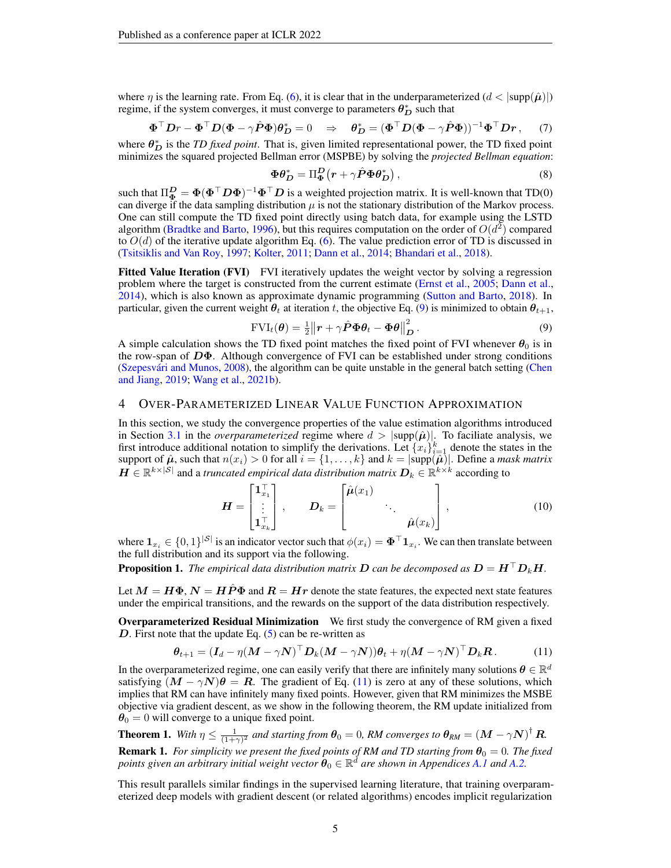where  $\eta$  is the learning rate. From Eq. [\(6\)](#page-3-1), it is clear that in the underparameterized  $(d < |supp(\hat{\mu})|)$ regime, if the system converges, it must converge to parameters  $\theta_D^*$  such that

$$
\Phi^{\top} Dr - \Phi^{\top} D(\Phi - \gamma \hat{P} \Phi) \theta_D^* = 0 \quad \Rightarrow \quad \theta_D^* = (\Phi^{\top} D(\Phi - \gamma \hat{P} \Phi))^{-1} \Phi^{\top} Dr \,, \tag{7}
$$

where  $\theta_D^*$  is the *TD fixed point*. That is, given limited representational power, the TD fixed point minimizes the squared projected Bellman error (MSPBE) by solving the *projected Bellman equation*:

$$
\Phi \theta_D^* = \Pi_\Phi^D \left( r + \gamma \hat{P} \Phi \theta_D^* \right),\tag{8}
$$

such that  $\Pi_{\bf \Phi}^D=\pmb{\Phi}(\pmb{\Phi}^\top\pmb{D}\pmb{\Phi})^{-1}\pmb{\Phi}^\top\pmb{D}$  is a weighted projection matrix. It is well-known that TD(0) can diverge if the data sampling distribution  $\mu$  is not the stationary distribution of the Markov process. One can still compute the TD fixed point directly using batch data, for example using the LSTD algorithm [\(Bradtke and Barto,](#page-9-6) [1996\)](#page-9-6), but this requires computation on the order of  $O(d^2)$  compared to  $O(d)$  of the iterative update algorithm Eq. [\(6\)](#page-3-1). The value prediction error of TD is discussed in [\(Tsitsiklis and Van Roy,](#page-12-6) [1997;](#page-12-6) [Kolter,](#page-10-5) [2011;](#page-10-5) [Dann et al.,](#page-10-3) [2014;](#page-10-3) [Bhandari et al.,](#page-9-9) [2018\)](#page-9-9).

Fitted Value Iteration (FVI) FVI iteratively updates the weight vector by solving a regression problem where the target is constructed from the current estimate [\(Ernst et al.,](#page-10-7) [2005;](#page-10-7) [Dann et al.,](#page-10-3) [2014\)](#page-10-3), which is also known as approximate dynamic programming [\(Sutton and Barto,](#page-11-1) [2018\)](#page-11-1). In particular, given the current weight  $\theta_t$  at iteration t, the objective Eq. [\(9\)](#page-4-0) is minimized to obtain  $\theta_{t+1}$ ,

<span id="page-4-0"></span>
$$
FVI_t(\boldsymbol{\theta}) = \frac{1}{2} ||\boldsymbol{r} + \gamma \hat{\boldsymbol{P}} \boldsymbol{\Phi} \boldsymbol{\theta}_t - \boldsymbol{\Phi} \boldsymbol{\theta} ||^2_{\boldsymbol{D}}.
$$
 (9)

A simple calculation shows the TD fixed point matches the fixed point of FVI whenever  $\theta_0$  is in the row-span of  $D\Phi$ . Although convergence of FVI can be established under strong conditions (Szepesvári and Munos, [2008\)](#page-12-10), the algorithm can be quite unstable in the general batch setting [\(Chen](#page-9-12) [and Jiang,](#page-9-12) [2019;](#page-9-12) [Wang et al.,](#page-12-8) [2021b\)](#page-12-8).

## 4 OVER-PARAMETERIZED LINEAR VALUE FUNCTION APPROXIMATION

In this section, we study the convergence properties of the value estimation algorithms introduced in Section [3.1](#page-3-2) in the *overparameterized* regime where  $d > |\text{supp}(\hat{\mu})|$ . To faciliate analysis, we first introduce additional notation to simplify the derivations. Let  $\{x_i\}_{i=1}^k$  denote the states in the support of  $\hat{\mu}$ , such that  $n(x_i) > 0$  for all  $i = \{1, \ldots, k\}$  and  $k = |\text{supp}(\hat{\mu})|$ . Define a *mask matrix*  $H \in \mathbb{R}^{k \times |\mathcal{S}|}$  and a *truncated empirical data distribution matrix*  $D_k \in \mathbb{R}^{k \times k}$  according to

<span id="page-4-1"></span>
$$
\boldsymbol{H} = \begin{bmatrix} \mathbf{1}_{x_1}^{\top} \\ \vdots \\ \mathbf{1}_{x_k}^{\top} \end{bmatrix}, \qquad \boldsymbol{D}_k = \begin{bmatrix} \hat{\boldsymbol{\mu}}(x_1) & & \\ & \ddots & \\ & & \hat{\boldsymbol{\mu}}(x_k) \end{bmatrix}, \tag{10}
$$

where  $\mathbf{1}_{x_i} \in \{0,1\}^{|\mathcal{S}|}$  is an indicator vector such that  $\phi(x_i) = \mathbf{\Phi}^\top \mathbf{1}_{x_i}$ . We can then translate between the full distribution and its support via the following.

**Proposition 1.** The empirical data distribution matrix D can be decomposed as  $D = H^{\top}D_kH$ .

Let  $M = H\Phi$ ,  $N = H\hat{P}\Phi$  and  $R = Hr$  denote the state features, the expected next state features under the empirical transitions, and the rewards on the support of the data distribution respectively.

Overparameterized Residual Minimization We first study the convergence of RM given a fixed D. First note that the update Eq.  $(5)$  can be re-written as

$$
\boldsymbol{\theta}_{t+1} = (\boldsymbol{I}_d - \eta (\boldsymbol{M} - \gamma \boldsymbol{N})^\top \boldsymbol{D}_k (\boldsymbol{M} - \gamma \boldsymbol{N})) \boldsymbol{\theta}_t + \eta (\boldsymbol{M} - \gamma \boldsymbol{N})^\top \boldsymbol{D}_k \boldsymbol{R}. \tag{11}
$$

In the overparameterized regime, one can easily verify that there are infinitely many solutions  $\theta \in \mathbb{R}^d$ satisfying  $(M - \gamma N)\theta = R$ . The gradient of Eq. [\(11\)](#page-4-1) is zero at any of these solutions, which implies that RM can have infinitely many fixed points. However, given that RM minimizes the MSBE objective via gradient descent, as we show in the following theorem, the RM update initialized from  $\theta_0 = 0$  will converge to a unique fixed point.

<span id="page-4-2"></span>**Theorem 1.** With 
$$
\eta \leq \frac{1}{(1+\gamma)^2}
$$
 and starting from  $\theta_0 = 0$ , RM converges to  $\theta_{RM} = (M - \gamma N)^{\dagger} R$ .  
**Remark 1.** For simplicity we present the fixed points of RM and TD starting from  $\theta_0 = 0$ . The five

**Remark 1.** *For simplicity we present the fixed points of RM and TD starting from*  $\theta_0 = 0$ . *The fixed* points given an arbitrary initial weight vector  $\hat{\bm{\theta}}_0 \in \mathbb{R}^d$  are shown in Appendices [A.1](#page-13-0) and [A.2.](#page-14-0)

This result parallels similar findings in the supervised learning literature, that training overparameterized deep models with gradient descent (or related algorithms) encodes implicit regularization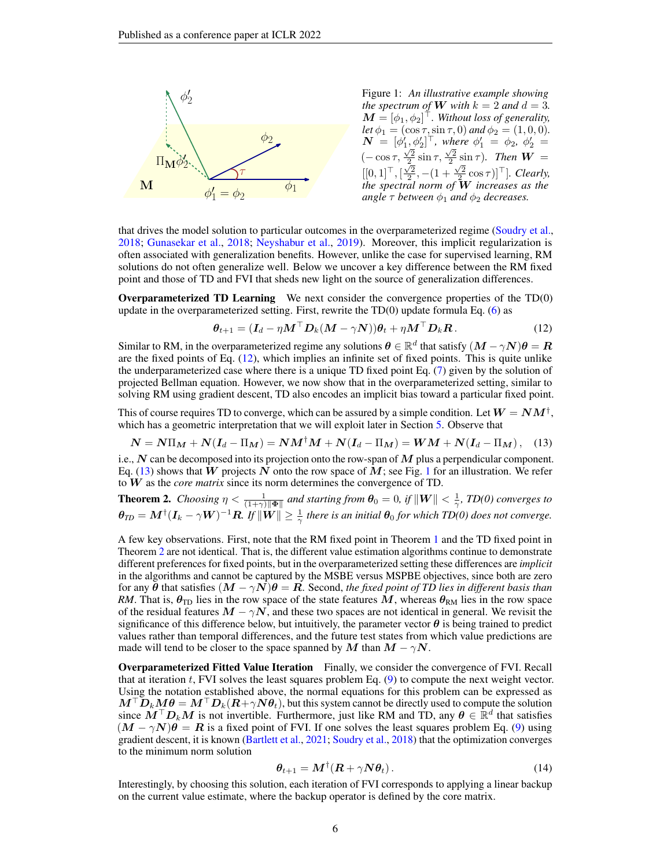

<span id="page-5-1"></span><span id="page-5-0"></span>Figure 1: *An illustrative example showing the spectrum of* **W** with  $k = 2$  *and*  $d = 3$ *.*  $\boldsymbol{M} \stackrel{\cdot}{=} [\phi_1, \phi_2]^\top$ . Without loss of generality, *let*  $\phi_1 = (\cos \tau, \sin \tau, 0)$  *and*  $\phi_2 = (1, 0, 0)$ *.*  $\bm{N}~=~[\phi_1',\phi_2']^\top, \text{ where } \phi_1'~=~\phi_2, \; \phi_2'~=~$ (− cos τ,  $\frac{\sqrt{2}}{2}$  sin τ,  $\frac{\sqrt{2}}{2}$  sin τ). Then **W** =  $[[0,1]^\top, [\frac{\sqrt{2}}{2}, -(1+\frac{\sqrt{2}}{2}\cos \tau)]^\top]$ *. Clearly, the spectral norm of* W *increases as the angle*  $\tau$  *between*  $\phi_1$  *and*  $\phi_2$  *decreases.* 

that drives the model solution to particular outcomes in the overparameterized regime [\(Soudry et al.,](#page-11-15) [2018;](#page-11-15) [Gunasekar et al.,](#page-10-15) [2018;](#page-10-15) [Neyshabur et al.,](#page-11-16) [2019\)](#page-11-16). Moreover, this implicit regularization is often associated with generalization benefits. However, unlike the case for supervised learning, RM solutions do not often generalize well. Below we uncover a key difference between the RM fixed point and those of TD and FVI that sheds new light on the source of generalization differences.

Overparameterized TD Learning We next consider the convergence properties of the TD(0) update in the overparameterized setting. First, rewrite the  $TD(0)$  update formula Eq. [\(6\)](#page-3-1) as

$$
\boldsymbol{\theta}_{t+1} = (\boldsymbol{I}_d - \eta \boldsymbol{M}^\top \boldsymbol{D}_k (\boldsymbol{M} - \gamma \boldsymbol{N})) \boldsymbol{\theta}_t + \eta \boldsymbol{M}^\top \boldsymbol{D}_k \boldsymbol{R}.
$$
 (12)

Similar to RM, in the overparameterized regime any solutions  $\theta \in \mathbb{R}^d$  that satisfy  $(M - \gamma N)\theta = R$ are the fixed points of Eq.  $(12)$ , which implies an infinite set of fixed points. This is quite unlike the underparameterized case where there is a unique TD fixed point Eq. [\(7\)](#page-3-1) given by the solution of projected Bellman equation. However, we now show that in the overparameterized setting, similar to solving RM using gradient descent, TD also encodes an implicit bias toward a particular fixed point.

This of course requires TD to converge, which can be assured by a simple condition. Let  $W = NM^\dagger,$ which has a geometric interpretation that we will exploit later in Section [5.](#page-7-0) Observe that

$$
N = N\Pi_M + N(I_d - \Pi_M) = NM^{\dagger}M + N(I_d - \Pi_M) = WM + N(I_d - \Pi_M), \quad (13)
$$

i.e.,  $N$  can be decomposed into its projection onto the row-span of  $M$  plus a perpendicular component. Eq. [\(13\)](#page-5-0) shows that W projects N onto the row space of M; see Fig. [1](#page-5-1) for an illustration. We refer to W as the *core matrix* since its norm determines the convergence of TD.

<span id="page-5-2"></span>**Theorem 2.** *Choosing*  $\eta < \frac{1}{(1+\gamma)\|\Phi\|}$  and starting from  $\theta_0 = 0$ , if  $\|\mathbf{W}\| < \frac{1}{\gamma}$ , TD(0) converges to  $\bm{\theta}_{TD} = \bm{M}^\dagger(\bm{I}_k - \gamma \bm{W})^{-1}\bm{R}$ . If  $\|\bm{W}\| \geq \frac{1}{\gamma}$  there is an initial  $\bm{\theta}_0$  for which TD(0) does not converge.

A few key observations. First, note that the RM fixed point in Theorem [1](#page-4-2) and the TD fixed point in Theorem [2](#page-5-2) are not identical. That is, the different value estimation algorithms continue to demonstrate different preferences for fixed points, but in the overparameterized setting these differences are *implicit* in the algorithms and cannot be captured by the MSBE versus MSPBE objectives, since both are zero for any  $\theta$  that satisfies  $(M - \gamma N)\theta = R$ . Second, *the fixed point of TD lies in different basis than RM*. That is,  $\theta_{\text{TD}}$  lies in the row space of the state features M, whereas  $\theta_{\text{RM}}$  lies in the row space of the residual features  $M - \gamma N$ , and these two spaces are not identical in general. We revisit the significance of this difference below, but intuitively, the parameter vector  $\theta$  is being trained to predict values rather than temporal differences, and the future test states from which value predictions are made will tend to be closer to the space spanned by M than  $M - \gamma N$ .

Overparameterized Fitted Value Iteration Finally, we consider the convergence of FVI. Recall that at iteration  $t$ , FVI solves the least squares problem Eq.  $(9)$  to compute the next weight vector. Using the notation established above, the normal equations for this problem can be expressed as  $\bm{M}^\top \bm{D}_k \bm{M} \bm{\theta} = \bm{M}^\top \bm{D}_k (\bm{R} + \gamma \bm{N} \bm{\theta}_t)$ , but this system cannot be directly used to compute the solution since  $\tilde{M}^\top D_k M$  is not invertible. Furthermore, just like RM and TD, any  $\theta \in \mathbb{R}^d$  that satisfies  $(M - \gamma N)\theta = R$  is a fixed point of FVI. If one solves the least squares problem Eq. [\(9\)](#page-4-0) using gradient descent, it is known [\(Bartlett et al.,](#page-9-13) [2021;](#page-9-13) [Soudry et al.,](#page-11-15) [2018\)](#page-11-15) that the optimization converges to the minimum norm solution

$$
\boldsymbol{\theta}_{t+1} = \boldsymbol{M}^\dagger (\boldsymbol{R} + \gamma \boldsymbol{N} \boldsymbol{\theta}_t). \tag{14}
$$

Interestingly, by choosing this solution, each iteration of FVI corresponds to applying a linear backup on the current value estimate, where the backup operator is defined by the core matrix.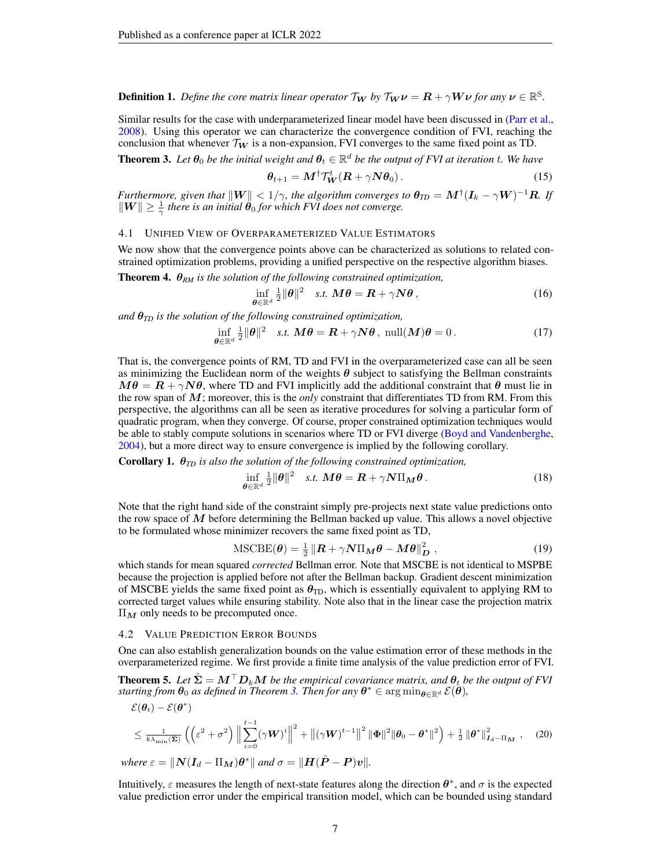**Definition 1.** Define the core matrix linear operator  $\mathcal{T}_{W}$  by  $\mathcal{T}_{W} \nu = R + \gamma W \nu$  for any  $\nu \in \mathbb{R}^{S}$ .

Similar results for the case with underparameterized linear model have been discussed in [\(Parr et al.,](#page-11-13) [2008\)](#page-11-13). Using this operator we can characterize the convergence condition of FVI, reaching the conclusion that whenever  $\mathcal{T}_{W}$  is a non-expansion, FVI converges to the same fixed point as TD.

<span id="page-6-0"></span>**Theorem 3.** Let  $\theta_0$  be the initial weight and  $\theta_t \in \mathbb{R}^d$  be the output of FVI at iteration t. We have

$$
\theta_{t+1} = M^{\dagger} \mathcal{T}_{W}^{t} (R + \gamma N \theta_{0}). \qquad (15)
$$

*Furthermore, given that*  $\|W\| < 1/\gamma$ , the algorithm converges to  $\bm{\theta}_{TD} = \bm{M}^\dagger (\bm{I}_k - \gamma \bm{W})^{-1} \bm{R}$ . If  $\|W\| \geq \frac{1}{\gamma}$  there is an initial  $\hat{\theta}_0$  for which FVI does not converge.

#### 4.1 UNIFIED VIEW OF OVERPARAMETERIZED VALUE ESTIMATORS

We now show that the convergence points above can be characterized as solutions to related constrained optimization problems, providing a unified perspective on the respective algorithm biases.

<span id="page-6-4"></span>Theorem 4. θ*RM is the solution of the following constrained optimization,*

$$
\inf_{\theta \in \mathbb{R}^d} \frac{1}{2} \|\theta\|^2 \quad \text{s.t.} \quad M\theta = \mathbf{R} + \gamma N\theta \,, \tag{16}
$$

*and* θ*TD is the solution of the following constrained optimization,*

$$
\inf_{\theta \in \mathbb{R}^d} \frac{1}{2} \|\theta\|^2 \quad s.t. \ M\theta = \mathbf{R} + \gamma N\theta \,, \ \text{null}(M)\theta = 0 \,. \tag{17}
$$

That is, the convergence points of RM, TD and FVI in the overparameterized case can all be seen as minimizing the Euclidean norm of the weights  $\theta$  subject to satisfying the Bellman constraints  $M\theta = R + \gamma N\theta$ , where TD and FVI implicitly add the additional constraint that  $\theta$  must lie in the row span of M; moreover, this is the *only* constraint that differentiates TD from RM. From this perspective, the algorithms can all be seen as iterative procedures for solving a particular form of quadratic program, when they converge. Of course, proper constrained optimization techniques would be able to stably compute solutions in scenarios where TD or FVI diverge [\(Boyd and Vandenberghe,](#page-9-14) [2004\)](#page-9-14), but a more direct way to ensure convergence is implied by the following corollary.

<span id="page-6-2"></span>Corollary 1. θ*TD is also the solution of the following constrained optimization,*

<span id="page-6-3"></span>
$$
\inf_{\boldsymbol{\theta}\in\mathbb{R}^d} \frac{1}{2} \|\boldsymbol{\theta}\|^2 \quad \text{s.t. } \mathbf{M}\boldsymbol{\theta} = \mathbf{R} + \gamma \mathbf{N} \Pi_{\mathbf{M}} \boldsymbol{\theta} \,. \tag{18}
$$

Note that the right hand side of the constraint simply pre-projects next state value predictions onto the row space of  $M$  before determining the Bellman backed up value. This allows a novel objective to be formulated whose minimizer recovers the same fixed point as TD,

<span id="page-6-1"></span>
$$
\text{MSCBE}(\boldsymbol{\theta}) = \frac{1}{2} \left\| \boldsymbol{R} + \gamma \boldsymbol{N} \Pi_{\boldsymbol{M}} \boldsymbol{\theta} - \boldsymbol{M} \boldsymbol{\theta} \right\|_{\boldsymbol{D}}^2, \qquad (19)
$$

which stands for mean squared *corrected* Bellman error. Note that MSCBE is not identical to MSPBE because the projection is applied before not after the Bellman backup. Gradient descent minimization of MSCBE yields the same fixed point as  $\theta_{\text{TD}}$ , which is essentially equivalent to applying RM to corrected target values while ensuring stability. Note also that in the linear case the projection matrix  $\Pi_M$  only needs to be precomputed once.

#### 4.2 VALUE PREDICTION ERROR BOUNDS

One can also establish generalization bounds on the value estimation error of these methods in the overparameterized regime. We first provide a finite time analysis of the value prediction error of FVI.

<span id="page-6-5"></span>**Theorem 5.** Let  $\hat{\Sigma} = M^{\top}D_kM$  be the empirical covariance matrix, and  $\theta_t$  be the output of FVI  $s$ *tarting from*  $\theta_0$  *as defined in Theorem [3.](#page-6-0) Then for any*  $\theta^* \in \arg\min_{\theta \in \mathbb{R}^d} \mathcal{E}(\theta)$ *,* 

$$
\mathcal{E}(\boldsymbol{\theta}_{t}) - \mathcal{E}(\boldsymbol{\theta}^{*})
$$
\n
$$
\leq \frac{1}{k\lambda_{\min}(\hat{\boldsymbol{\Sigma}})} \left( \left( \varepsilon^{2} + \sigma^{2} \right) \left\| \sum_{i=0}^{t-1} (\gamma \boldsymbol{W})^{i} \right\|^{2} + \left\| (\gamma \boldsymbol{W})^{t-1} \right\|^{2} \|\boldsymbol{\Phi}\|^{2} \|\boldsymbol{\theta}_{0} - \boldsymbol{\theta}^{*}\|^{2} \right) + \frac{1}{2} \left\| \boldsymbol{\theta}^{*} \right\|_{\boldsymbol{I}_{d} - \Pi_{\boldsymbol{M}}}^{2}, \quad (20)
$$
\nwhere  $\varepsilon = \|\boldsymbol{N}(\boldsymbol{I}_{d} - \Pi_{\boldsymbol{M}})\boldsymbol{\theta}^{*}\|$  and  $\sigma = \|\boldsymbol{H}(\hat{\boldsymbol{P}} - \boldsymbol{P})\boldsymbol{v}\|$ .

Intuitively,  $\varepsilon$  measures the length of next-state features along the direction  $\theta^*$ , and  $\sigma$  is the expected value prediction error under the empirical transition model, which can be bounded using standard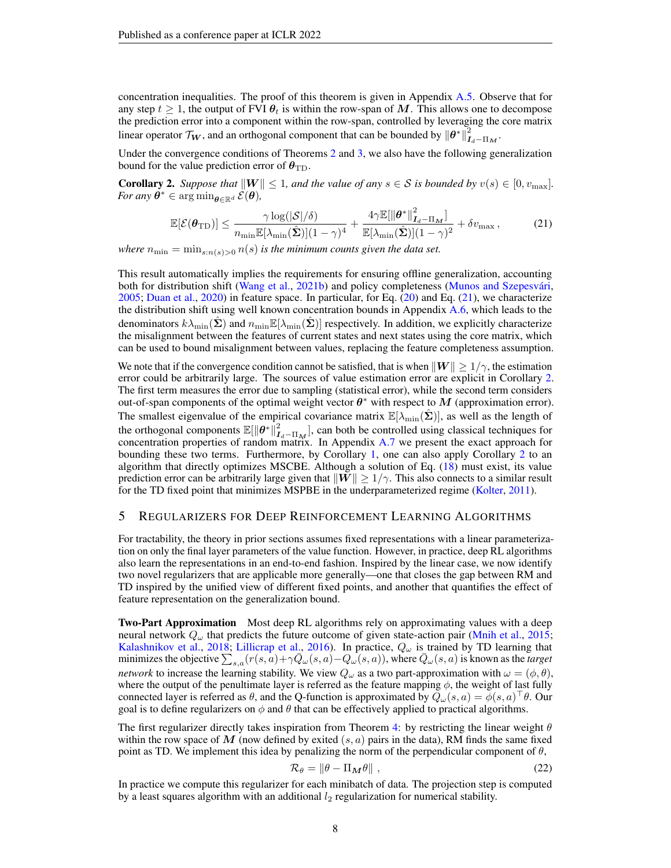concentration inequalities. The proof of this theorem is given in Appendix [A.5.](#page-16-0) Observe that for any step  $t \geq 1$ , the output of FVI  $\theta_t$  is within the row-span of M. This allows one to decompose the prediction error into a component within the row-span, controlled by leveraging the core matrix linear operator  $\mathcal{T}_{\bm{W}}$ , and an orthogonal component that can be bounded by  $\|\bm{\theta}^*\|_{\bm{I}_d-\Pi_{\bm{M}}}^2$ .

Under the convergence conditions of Theorems  $2$  and  $3$ , we also have the following generalization bound for the value prediction error of  $\theta_{\text{TD}}$ .

<span id="page-7-2"></span>**Corollary 2.** *Suppose that*  $||W|| \leq 1$ *, and the value of any*  $s \in S$  *is bounded by*  $v(s) \in [0, v_{\text{max}}]$ *. For any*  $\boldsymbol{\theta}^* \in \arg \min_{\boldsymbol{\theta} \in \mathbb{R}^d} \mathcal{E}(\boldsymbol{\theta}),$ 

<span id="page-7-1"></span>
$$
\mathbb{E}[\mathcal{E}(\boldsymbol{\theta}_{\text{TD}})] \le \frac{\gamma \log(|\mathcal{S}|/\delta)}{n_{\min} \mathbb{E}[\lambda_{\min}(\hat{\boldsymbol{\Sigma}})] (1 - \gamma)^4} + \frac{4\gamma \mathbb{E}[\|\boldsymbol{\theta}^*\|_{\boldsymbol{I}_d - \Pi_{\boldsymbol{M}}}^2]}{\mathbb{E}[\lambda_{\min}(\hat{\boldsymbol{\Sigma}})] (1 - \gamma)^2} + \delta v_{\max},\tag{21}
$$

*where*  $n_{\min} = \min_{s: n(s) > 0} n(s)$  *is the minimum counts given the data set.* 

This result automatically implies the requirements for ensuring offline generalization, accounting both for distribution shift [\(Wang et al.,](#page-12-8) [2021b\)](#page-12-8) and policy completeness (Munos and Szepesvári, [2005;](#page-11-8) [Duan et al.,](#page-10-12) [2020\)](#page-10-12) in feature space. In particular, for Eq. [\(20\)](#page-6-1) and Eq. [\(21\)](#page-7-1), we characterize the distribution shift using well known concentration bounds in Appendix [A.6,](#page-18-0) which leads to the denominators  $k\lambda_{\min}(\hat{\Sigma})$  and  $n_{\min} \mathbb{E}[\lambda_{\min}(\hat{\Sigma})]$  respectively. In addition, we explicitly characterize the misalignment between the features of current states and next states using the core matrix, which can be used to bound misalignment between values, replacing the feature completeness assumption.

We note that if the convergence condition cannot be satisfied, that is when  $\|\mathbf{W}\| \geq 1/\gamma$ , the estimation error could be arbitrarily large. The sources of value estimation error are explicit in Corollary [2.](#page-7-2) The first term measures the error due to sampling (statistical error), while the second term considers out-of-span components of the optimal weight vector  $\theta^*$  with respect to  $M$  (approximation error). The smallest eigenvalue of the empirical covariance matrix  $\mathbb{E}[\lambda_{\min}(\Sigma)]$ , as well as the length of the orthogonal components  $\mathbb{E}[\|\theta^*\|_{I_d-\Pi_M}^2]$ , can both be controlled using classical techniques for concentration properties of random matrix. In Appendix [A.7](#page-19-0) we present the exact approach for bounding these two terms. Furthermore, by Corollary [1,](#page-6-2) one can also apply Corollary [2](#page-7-2) to an algorithm that directly optimizes MSCBE. Although a solution of Eq. [\(18\)](#page-6-3) must exist, its value prediction error can be arbitrarily large given that  $||W|| \ge 1/\gamma$ . This also connects to a similar result for the TD fixed point that minimizes MSPBE in the underparameterized regime [\(Kolter,](#page-10-5) [2011\)](#page-10-5).

## <span id="page-7-0"></span>5 REGULARIZERS FOR DEEP REINFORCEMENT LEARNING ALGORITHMS

For tractability, the theory in prior sections assumes fixed representations with a linear parameterization on only the final layer parameters of the value function. However, in practice, deep RL algorithms also learn the representations in an end-to-end fashion. Inspired by the linear case, we now identify two novel regularizers that are applicable more generally—one that closes the gap between RM and TD inspired by the unified view of different fixed points, and another that quantifies the effect of feature representation on the generalization bound.

**Two-Part Approximation** Most deep RL algorithms rely on approximating values with a deep neural network  $Q_{\omega}$  that predicts the future outcome of given state-action pair [\(Mnih et al.,](#page-11-0) [2015;](#page-11-0) [Kalashnikov et al.,](#page-10-16) [2018;](#page-10-16) [Lillicrap et al.,](#page-10-8) [2016\)](#page-10-8). In practice,  $Q_{\omega}$  is trained by TD learning that minimizes the objective  $\sum_{s,a} (r(s, a) + \gamma \bar{Q}_{\omega}(s, a) - Q_{\omega}(s, a))$ , where  $\bar{Q}_{\omega}(s, a)$  is known as the *target network* to increase the learning stability. We view  $Q_{\omega}$  as a two part-approximation with  $\omega = (\phi, \theta)$ , where the output of the penultimate layer is referred as the feature mapping  $\phi$ , the weight of last fully connected layer is referred as  $\theta$ , and the Q-function is approximated by  $Q_\omega(s, a) = \phi(s, a)^\top \theta$ . Our goal is to define regularizers on  $\phi$  and  $\theta$  that can be effectively applied to practical algorithms.

The first regularizer directly takes inspiration from Theorem [4:](#page-6-4) by restricting the linear weight  $\theta$ within the row space of M (now defined by exited  $(s, a)$  pairs in the data), RM finds the same fixed point as TD. We implement this idea by penalizing the norm of the perpendicular component of  $\theta$ ,

$$
\mathcal{R}_{\theta} = \|\theta - \Pi_{\mathbf{M}}\theta\| \tag{22}
$$

In practice we compute this regularizer for each minibatch of data. The projection step is computed by a least squares algorithm with an additional  $l_2$  regularization for numerical stability.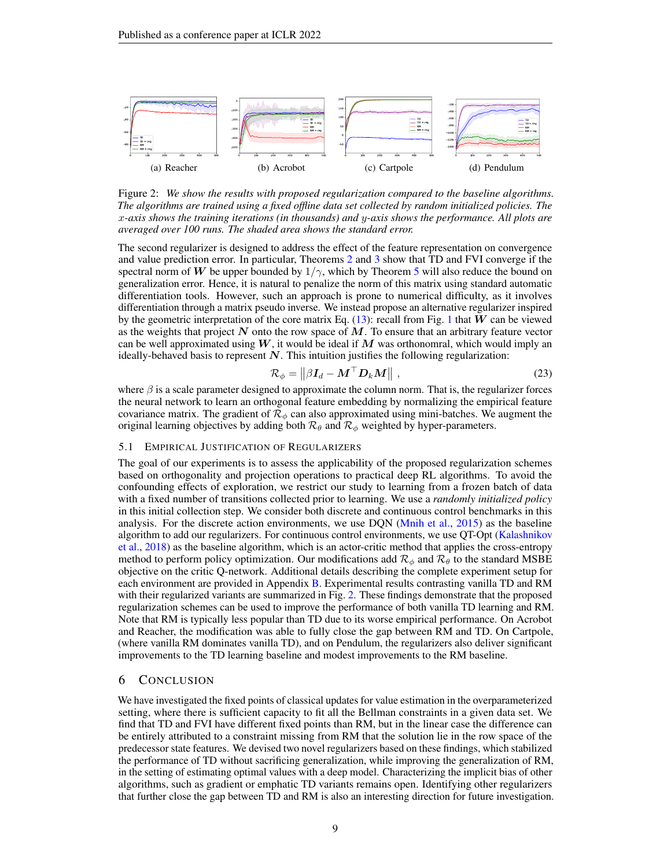

<span id="page-8-0"></span>Figure 2: *We show the results with proposed regularization compared to the baseline algorithms. The algorithms are trained using a fixed offline data set collected by random initialized policies. The* x*-axis shows the training iterations (in thousands) and* y*-axis shows the performance. All plots are averaged over 100 runs. The shaded area shows the standard error.*

The second regularizer is designed to address the effect of the feature representation on convergence and value prediction error. In particular, Theorems [2](#page-5-2) and [3](#page-6-0) show that TD and FVI converge if the spectral norm of W be upper bounded by  $1/\gamma$ , which by Theorem [5](#page-6-5) will also reduce the bound on generalization error. Hence, it is natural to penalize the norm of this matrix using standard automatic differentiation tools. However, such an approach is prone to numerical difficulty, as it involves differentiation through a matrix pseudo inverse. We instead propose an alternative regularizer inspired by the geometric interpretation of the core matrix Eq. [\(13\)](#page-5-0): recall from Fig. [1](#page-5-1) that  $W$  can be viewed as the weights that project  $N$  onto the row space of  $M$ . To ensure that an arbitrary feature vector can be well approximated using  $W$ , it would be ideal if M was orthonomral, which would imply an ideally-behaved basis to represent  $N$ . This intuition justifies the following regularization:

<span id="page-8-1"></span>
$$
\mathcal{R}_{\phi} = \left\| \beta \boldsymbol{I}_d - \boldsymbol{M}^\top \boldsymbol{D}_k \boldsymbol{M} \right\|, \tag{23}
$$

where  $\beta$  is a scale parameter designed to approximate the column norm. That is, the regularizer forces the neural network to learn an orthogonal feature embedding by normalizing the empirical feature covariance matrix. The gradient of  $\mathcal{R}_{\phi}$  can also approximated using mini-batches. We augment the original learning objectives by adding both  $\mathcal{R}_{\theta}$  and  $\mathcal{R}_{\phi}$  weighted by hyper-parameters.

#### 5.1 EMPIRICAL JUSTIFICATION OF REGULARIZERS

The goal of our experiments is to assess the applicability of the proposed regularization schemes based on orthogonality and projection operations to practical deep RL algorithms. To avoid the confounding effects of exploration, we restrict our study to learning from a frozen batch of data with a fixed number of transitions collected prior to learning. We use a *randomly initialized policy* in this initial collection step. We consider both discrete and continuous control benchmarks in this analysis. For the discrete action environments, we use DQN [\(Mnih et al.,](#page-11-0)  $2015$ ) as the baseline algorithm to add our regularizers. For continuous control environments, we use QT-Opt [\(Kalashnikov](#page-10-16) [et al.,](#page-10-16) [2018\)](#page-10-16) as the baseline algorithm, which is an actor-critic method that applies the cross-entropy method to perform policy optimization. Our modifications add  $\mathcal{R}_{\phi}$  and  $\mathcal{R}_{\theta}$  to the standard MSBE objective on the critic Q-network. Additional details describing the complete experiment setup for each environment are provided in Appendix [B.](#page-19-1) Experimental results contrasting vanilla TD and RM with their regularized variants are summarized in Fig. [2.](#page-8-0) These findings demonstrate that the proposed regularization schemes can be used to improve the performance of both vanilla TD learning and RM. Note that RM is typically less popular than TD due to its worse empirical performance. On Acrobot and Reacher, the modification was able to fully close the gap between RM and TD. On Cartpole, (where vanilla RM dominates vanilla TD), and on Pendulum, the regularizers also deliver significant improvements to the TD learning baseline and modest improvements to the RM baseline.

## 6 CONCLUSION

We have investigated the fixed points of classical updates for value estimation in the overparameterized setting, where there is sufficient capacity to fit all the Bellman constraints in a given data set. We find that TD and FVI have different fixed points than RM, but in the linear case the difference can be entirely attributed to a constraint missing from RM that the solution lie in the row space of the predecessor state features. We devised two novel regularizers based on these findings, which stabilized the performance of TD without sacrificing generalization, while improving the generalization of RM, in the setting of estimating optimal values with a deep model. Characterizing the implicit bias of other algorithms, such as gradient or emphatic TD variants remains open. Identifying other regularizers that further close the gap between TD and RM is also an interesting direction for future investigation.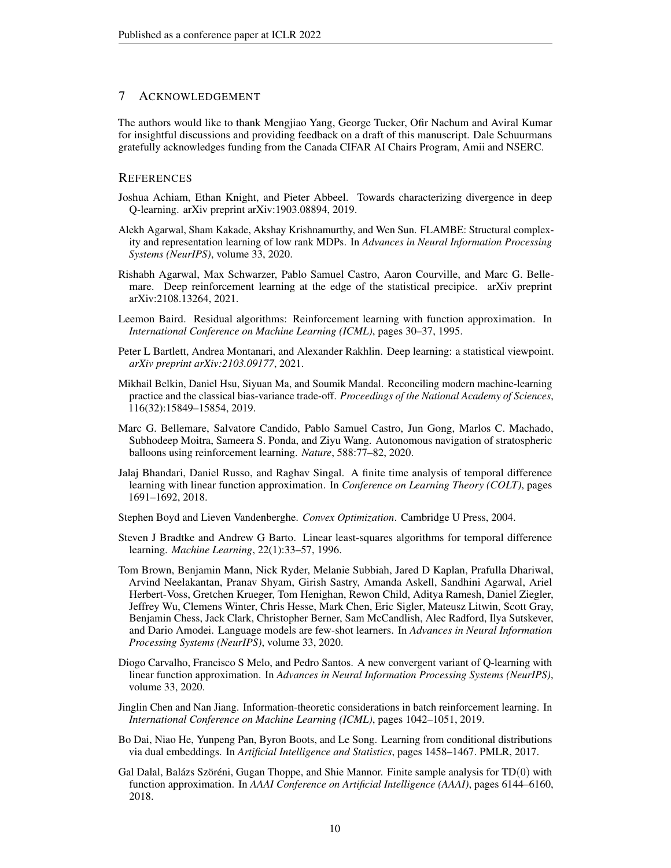## 7 ACKNOWLEDGEMENT

The authors would like to thank Mengjiao Yang, George Tucker, Ofir Nachum and Aviral Kumar for insightful discussions and providing feedback on a draft of this manuscript. Dale Schuurmans gratefully acknowledges funding from the Canada CIFAR AI Chairs Program, Amii and NSERC.

## **REFERENCES**

- <span id="page-9-1"></span>Joshua Achiam, Ethan Knight, and Pieter Abbeel. Towards characterizing divergence in deep Q-learning. arXiv preprint arXiv:1903.08894, 2019.
- <span id="page-9-11"></span>Alekh Agarwal, Sham Kakade, Akshay Krishnamurthy, and Wen Sun. FLAMBE: Structural complexity and representation learning of low rank MDPs. In *Advances in Neural Information Processing Systems (NeurIPS)*, volume 33, 2020.
- <span id="page-9-4"></span>Rishabh Agarwal, Max Schwarzer, Pablo Samuel Castro, Aaron Courville, and Marc G. Bellemare. Deep reinforcement learning at the edge of the statistical precipice. arXiv preprint arXiv:2108.13264, 2021.
- <span id="page-9-5"></span>Leemon Baird. Residual algorithms: Reinforcement learning with function approximation. In *International Conference on Machine Learning (ICML)*, pages 30–37, 1995.
- <span id="page-9-13"></span>Peter L Bartlett, Andrea Montanari, and Alexander Rakhlin. Deep learning: a statistical viewpoint. *arXiv preprint arXiv:2103.09177*, 2021.
- <span id="page-9-2"></span>Mikhail Belkin, Daniel Hsu, Siyuan Ma, and Soumik Mandal. Reconciling modern machine-learning practice and the classical bias-variance trade-off. *Proceedings of the National Academy of Sciences*, 116(32):15849–15854, 2019.
- <span id="page-9-0"></span>Marc G. Bellemare, Salvatore Candido, Pablo Samuel Castro, Jun Gong, Marlos C. Machado, Subhodeep Moitra, Sameera S. Ponda, and Ziyu Wang. Autonomous navigation of stratospheric balloons using reinforcement learning. *Nature*, 588:77–82, 2020.
- <span id="page-9-9"></span>Jalaj Bhandari, Daniel Russo, and Raghav Singal. A finite time analysis of temporal difference learning with linear function approximation. In *Conference on Learning Theory (COLT)*, pages 1691–1692, 2018.
- <span id="page-9-14"></span>Stephen Boyd and Lieven Vandenberghe. *Convex Optimization*. Cambridge U Press, 2004.
- <span id="page-9-6"></span>Steven J Bradtke and Andrew G Barto. Linear least-squares algorithms for temporal difference learning. *Machine Learning*, 22(1):33–57, 1996.
- <span id="page-9-3"></span>Tom Brown, Benjamin Mann, Nick Ryder, Melanie Subbiah, Jared D Kaplan, Prafulla Dhariwal, Arvind Neelakantan, Pranav Shyam, Girish Sastry, Amanda Askell, Sandhini Agarwal, Ariel Herbert-Voss, Gretchen Krueger, Tom Henighan, Rewon Child, Aditya Ramesh, Daniel Ziegler, Jeffrey Wu, Clemens Winter, Chris Hesse, Mark Chen, Eric Sigler, Mateusz Litwin, Scott Gray, Benjamin Chess, Jack Clark, Christopher Berner, Sam McCandlish, Alec Radford, Ilya Sutskever, and Dario Amodei. Language models are few-shot learners. In *Advances in Neural Information Processing Systems (NeurIPS)*, volume 33, 2020.
- <span id="page-9-7"></span>Diogo Carvalho, Francisco S Melo, and Pedro Santos. A new convergent variant of Q-learning with linear function approximation. In *Advances in Neural Information Processing Systems (NeurIPS)*, volume 33, 2020.
- <span id="page-9-12"></span>Jinglin Chen and Nan Jiang. Information-theoretic considerations in batch reinforcement learning. In *International Conference on Machine Learning (ICML)*, pages 1042–1051, 2019.
- <span id="page-9-8"></span>Bo Dai, Niao He, Yunpeng Pan, Byron Boots, and Le Song. Learning from conditional distributions via dual embeddings. In *Artificial Intelligence and Statistics*, pages 1458–1467. PMLR, 2017.
- <span id="page-9-10"></span>Gal Dalal, Balázs Szöréni, Gugan Thoppe, and Shie Mannor. Finite sample analysis for  $TD(0)$  with function approximation. In *AAAI Conference on Artificial Intelligence (AAAI)*, pages 6144–6160, 2018.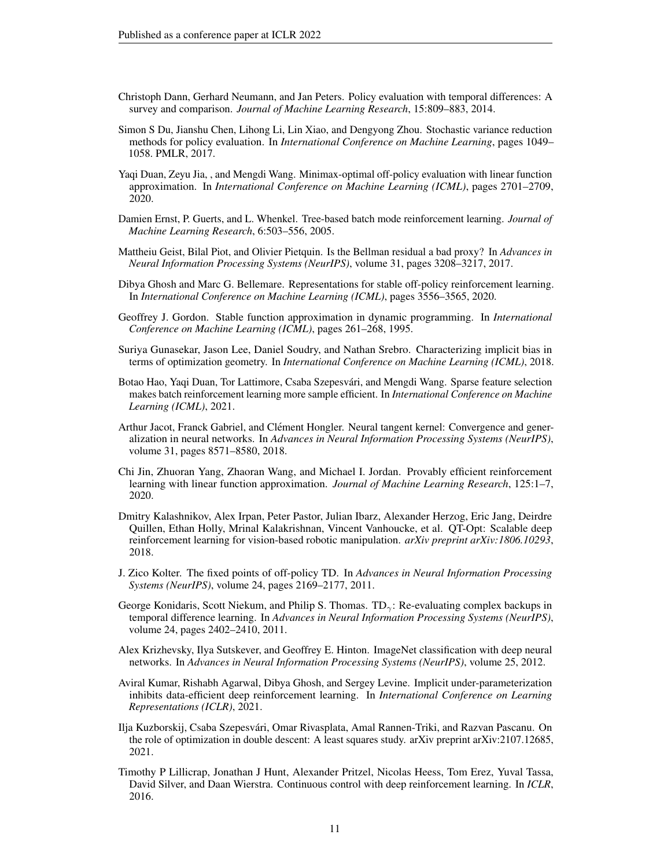- <span id="page-10-3"></span>Christoph Dann, Gerhard Neumann, and Jan Peters. Policy evaluation with temporal differences: A survey and comparison. *Journal of Machine Learning Research*, 15:809–883, 2014.
- <span id="page-10-10"></span>Simon S Du, Jianshu Chen, Lihong Li, Lin Xiao, and Dengyong Zhou. Stochastic variance reduction methods for policy evaluation. In *International Conference on Machine Learning*, pages 1049– 1058. PMLR, 2017.
- <span id="page-10-12"></span>Yaqi Duan, Zeyu Jia, , and Mengdi Wang. Minimax-optimal off-policy evaluation with linear function approximation. In *International Conference on Machine Learning (ICML)*, pages 2701–2709, 2020.
- <span id="page-10-7"></span>Damien Ernst, P. Guerts, and L. Whenkel. Tree-based batch mode reinforcement learning. *Journal of Machine Learning Research*, 6:503–556, 2005.
- <span id="page-10-11"></span>Mattheiu Geist, Bilal Piot, and Olivier Pietquin. Is the Bellman residual a bad proxy? In *Advances in Neural Information Processing Systems (NeurIPS)*, volume 31, pages 3208–3217, 2017.
- <span id="page-10-6"></span>Dibya Ghosh and Marc G. Bellemare. Representations for stable off-policy reinforcement learning. In *International Conference on Machine Learning (ICML)*, pages 3556–3565, 2020.
- <span id="page-10-4"></span>Geoffrey J. Gordon. Stable function approximation in dynamic programming. In *International Conference on Machine Learning (ICML)*, pages 261–268, 1995.
- <span id="page-10-15"></span>Suriya Gunasekar, Jason Lee, Daniel Soudry, and Nathan Srebro. Characterizing implicit bias in terms of optimization geometry. In *International Conference on Machine Learning (ICML)*, 2018.
- <span id="page-10-14"></span>Botao Hao, Yaqi Duan, Tor Lattimore, Csaba Szepesvári, and Mengdi Wang. Sparse feature selection makes batch reinforcement learning more sample efficient. In *International Conference on Machine Learning (ICML)*, 2021.
- <span id="page-10-1"></span>Arthur Jacot, Franck Gabriel, and Clément Hongler. Neural tangent kernel: Convergence and generalization in neural networks. In *Advances in Neural Information Processing Systems (NeurIPS)*, volume 31, pages 8571–8580, 2018.
- <span id="page-10-13"></span>Chi Jin, Zhuoran Yang, Zhaoran Wang, and Michael I. Jordan. Provably efficient reinforcement learning with linear function approximation. *Journal of Machine Learning Research*, 125:1–7, 2020.
- <span id="page-10-16"></span>Dmitry Kalashnikov, Alex Irpan, Peter Pastor, Julian Ibarz, Alexander Herzog, Eric Jang, Deirdre Quillen, Ethan Holly, Mrinal Kalakrishnan, Vincent Vanhoucke, et al. QT-Opt: Scalable deep reinforcement learning for vision-based robotic manipulation. *arXiv preprint arXiv:1806.10293*, 2018.
- <span id="page-10-5"></span>J. Zico Kolter. The fixed points of off-policy TD. In *Advances in Neural Information Processing Systems (NeurIPS)*, volume 24, pages 2169–2177, 2011.
- <span id="page-10-9"></span>George Konidaris, Scott Niekum, and Philip S. Thomas.  $TD_{\gamma}$ : Re-evaluating complex backups in temporal difference learning. In *Advances in Neural Information Processing Systems (NeurIPS)*, volume 24, pages 2402–2410, 2011.
- <span id="page-10-0"></span>Alex Krizhevsky, Ilya Sutskever, and Geoffrey E. Hinton. ImageNet classification with deep neural networks. In *Advances in Neural Information Processing Systems (NeurIPS)*, volume 25, 2012.
- <span id="page-10-2"></span>Aviral Kumar, Rishabh Agarwal, Dibya Ghosh, and Sergey Levine. Implicit under-parameterization inhibits data-efficient deep reinforcement learning. In *International Conference on Learning Representations (ICLR)*, 2021.
- <span id="page-10-17"></span>Ilja Kuzborskij, Csaba Szepesvari, Omar Rivasplata, Amal Rannen-Triki, and Razvan Pascanu. On ´ the role of optimization in double descent: A least squares study. arXiv preprint arXiv:2107.12685, 2021.
- <span id="page-10-8"></span>Timothy P Lillicrap, Jonathan J Hunt, Alexander Pritzel, Nicolas Heess, Tom Erez, Yuval Tassa, David Silver, and Daan Wierstra. Continuous control with deep reinforcement learning. In *ICLR*, 2016.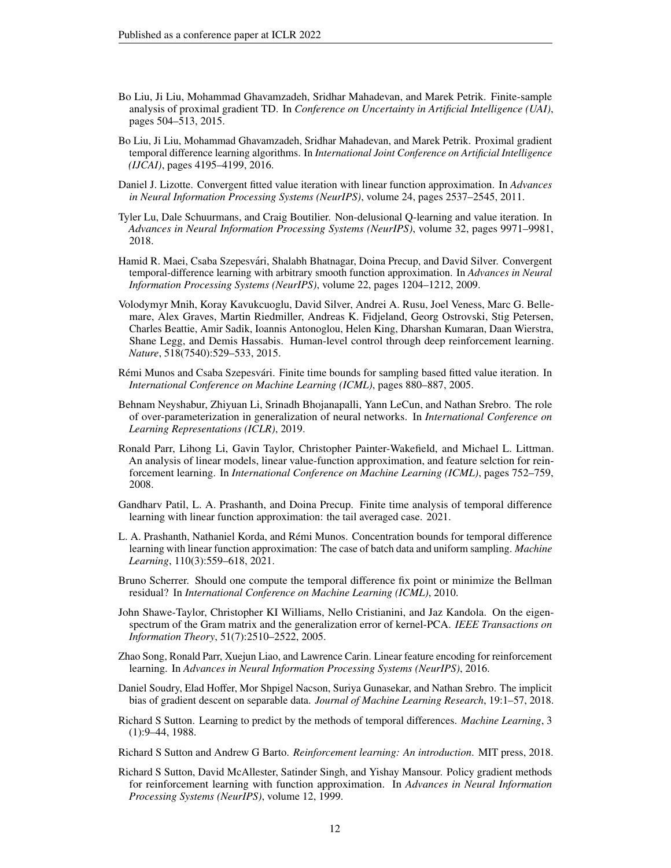- <span id="page-11-5"></span>Bo Liu, Ji Liu, Mohammad Ghavamzadeh, Sridhar Mahadevan, and Marek Petrik. Finite-sample analysis of proximal gradient TD. In *Conference on Uncertainty in Artificial Intelligence (UAI)*, pages 504–513, 2015.
- <span id="page-11-6"></span>Bo Liu, Ji Liu, Mohammad Ghavamzadeh, Sridhar Mahadevan, and Marek Petrik. Proximal gradient temporal difference learning algorithms. In *International Joint Conference on Artificial Intelligence (IJCAI)*, pages 4195–4199, 2016.
- <span id="page-11-9"></span>Daniel J. Lizotte. Convergent fitted value iteration with linear function approximation. In *Advances in Neural Information Processing Systems (NeurIPS)*, volume 24, pages 2537–2545, 2011.
- <span id="page-11-3"></span>Tyler Lu, Dale Schuurmans, and Craig Boutilier. Non-delusional Q-learning and value iteration. In *Advances in Neural Information Processing Systems (NeurIPS)*, volume 32, pages 9971–9981, 2018.
- <span id="page-11-4"></span>Hamid R. Maei, Csaba Szepesvari, Shalabh Bhatnagar, Doina Precup, and David Silver. Convergent ´ temporal-difference learning with arbitrary smooth function approximation. In *Advances in Neural Information Processing Systems (NeurIPS)*, volume 22, pages 1204–1212, 2009.
- <span id="page-11-0"></span>Volodymyr Mnih, Koray Kavukcuoglu, David Silver, Andrei A. Rusu, Joel Veness, Marc G. Bellemare, Alex Graves, Martin Riedmiller, Andreas K. Fidjeland, Georg Ostrovski, Stig Petersen, Charles Beattie, Amir Sadik, Ioannis Antonoglou, Helen King, Dharshan Kumaran, Daan Wierstra, Shane Legg, and Demis Hassabis. Human-level control through deep reinforcement learning. *Nature*, 518(7540):529–533, 2015.
- <span id="page-11-8"></span>Rémi Munos and Csaba Szepesvári. Finite time bounds for sampling based fitted value iteration. In *International Conference on Machine Learning (ICML)*, pages 880–887, 2005.
- <span id="page-11-16"></span>Behnam Neyshabur, Zhiyuan Li, Srinadh Bhojanapalli, Yann LeCun, and Nathan Srebro. The role of over-parameterization in generalization of neural networks. In *International Conference on Learning Representations (ICLR)*, 2019.
- <span id="page-11-13"></span>Ronald Parr, Lihong Li, Gavin Taylor, Christopher Painter-Wakefield, and Michael L. Littman. An analysis of linear models, linear value-function approximation, and feature selction for reinforcement learning. In *International Conference on Machine Learning (ICML)*, pages 752–759, 2008.
- <span id="page-11-12"></span>Gandharv Patil, L. A. Prashanth, and Doina Precup. Finite time analysis of temporal difference learning with linear function approximation: the tail averaged case. 2021.
- <span id="page-11-11"></span>L. A. Prashanth, Nathaniel Korda, and Remi Munos. Concentration bounds for temporal difference ´ learning with linear function approximation: The case of batch data and uniform sampling. *Machine Learning*, 110(3):559–618, 2021.
- <span id="page-11-7"></span>Bruno Scherrer. Should one compute the temporal difference fix point or minimize the Bellman residual? In *International Conference on Machine Learning (ICML)*, 2010.
- <span id="page-11-17"></span>John Shawe-Taylor, Christopher KI Williams, Nello Cristianini, and Jaz Kandola. On the eigenspectrum of the Gram matrix and the generalization error of kernel-PCA. *IEEE Transactions on Information Theory*, 51(7):2510–2522, 2005.
- <span id="page-11-14"></span>Zhao Song, Ronald Parr, Xuejun Liao, and Lawrence Carin. Linear feature encoding for reinforcement learning. In *Advances in Neural Information Processing Systems (NeurIPS)*, 2016.
- <span id="page-11-15"></span>Daniel Soudry, Elad Hoffer, Mor Shpigel Nacson, Suriya Gunasekar, and Nathan Srebro. The implicit bias of gradient descent on separable data. *Journal of Machine Learning Research*, 19:1–57, 2018.
- <span id="page-11-2"></span>Richard S Sutton. Learning to predict by the methods of temporal differences. *Machine Learning*, 3 (1):9–44, 1988.
- <span id="page-11-1"></span>Richard S Sutton and Andrew G Barto. *Reinforcement learning: An introduction*. MIT press, 2018.
- <span id="page-11-10"></span>Richard S Sutton, David McAllester, Satinder Singh, and Yishay Mansour. Policy gradient methods for reinforcement learning with function approximation. In *Advances in Neural Information Processing Systems (NeurIPS)*, volume 12, 1999.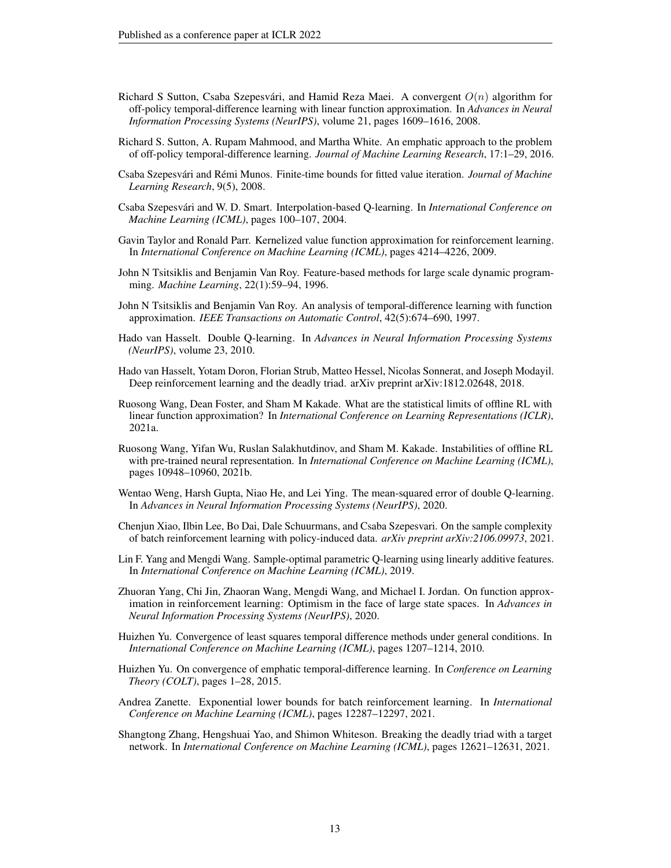- <span id="page-12-1"></span>Richard S Sutton, Csaba Szepesvári, and Hamid Reza Maei. A convergent  $O(n)$  algorithm for off-policy temporal-difference learning with linear function approximation. In *Advances in Neural Information Processing Systems (NeurIPS)*, volume 21, pages 1609–1616, 2008.
- <span id="page-12-3"></span>Richard S. Sutton, A. Rupam Mahmood, and Martha White. An emphatic approach to the problem of off-policy temporal-difference learning. *Journal of Machine Learning Research*, 17:1–29, 2016.
- <span id="page-12-10"></span>Csaba Szepesvári and Rémi Munos. Finite-time bounds for fitted value iteration. *Journal of Machine Learning Research*, 9(5), 2008.
- <span id="page-12-7"></span>Csaba Szepesvari and W. D. Smart. Interpolation-based Q-learning. In ´ *International Conference on Machine Learning (ICML)*, pages 100–107, 2004.
- <span id="page-12-16"></span>Gavin Taylor and Ronald Parr. Kernelized value function approximation for reinforcement learning. In *International Conference on Machine Learning (ICML)*, pages 4214–4226, 2009.
- <span id="page-12-5"></span>John N Tsitsiklis and Benjamin Van Roy. Feature-based methods for large scale dynamic programming. *Machine Learning*, 22(1):59–94, 1996.
- <span id="page-12-6"></span>John N Tsitsiklis and Benjamin Van Roy. An analysis of temporal-difference learning with function approximation. *IEEE Transactions on Automatic Control*, 42(5):674–690, 1997.
- <span id="page-12-11"></span>Hado van Hasselt. Double Q-learning. In *Advances in Neural Information Processing Systems (NeurIPS)*, volume 23, 2010.
- <span id="page-12-0"></span>Hado van Hasselt, Yotam Doron, Florian Strub, Matteo Hessel, Nicolas Sonnerat, and Joseph Modayil. Deep reinforcement learning and the deadly triad. arXiv preprint arXiv:1812.02648, 2018.
- <span id="page-12-13"></span>Ruosong Wang, Dean Foster, and Sham M Kakade. What are the statistical limits of offline RL with linear function approximation? In *International Conference on Learning Representations (ICLR)*, 2021a.
- <span id="page-12-8"></span>Ruosong Wang, Yifan Wu, Ruslan Salakhutdinov, and Sham M. Kakade. Instabilities of offline RL with pre-trained neural representation. In *International Conference on Machine Learning (ICML)*, pages 10948–10960, 2021b.
- <span id="page-12-12"></span>Wentao Weng, Harsh Gupta, Niao He, and Lei Ying. The mean-squared error of double Q-learning. In *Advances in Neural Information Processing Systems (NeurIPS)*, 2020.
- <span id="page-12-15"></span>Chenjun Xiao, Ilbin Lee, Bo Dai, Dale Schuurmans, and Csaba Szepesvari. On the sample complexity of batch reinforcement learning with policy-induced data. *arXiv preprint arXiv:2106.09973*, 2021.
- <span id="page-12-17"></span>Lin F. Yang and Mengdi Wang. Sample-optimal parametric Q-learning using linearly additive features. In *International Conference on Machine Learning (ICML)*, 2019.
- <span id="page-12-18"></span>Zhuoran Yang, Chi Jin, Zhaoran Wang, Mengdi Wang, and Michael I. Jordan. On function approximation in reinforcement learning: Optimism in the face of large state spaces. In *Advances in Neural Information Processing Systems (NeurIPS)*, 2020.
- <span id="page-12-9"></span>Huizhen Yu. Convergence of least squares temporal difference methods under general conditions. In *International Conference on Machine Learning (ICML)*, pages 1207–1214, 2010.
- <span id="page-12-2"></span>Huizhen Yu. On convergence of emphatic temporal-difference learning. In *Conference on Learning Theory (COLT)*, pages 1–28, 2015.
- <span id="page-12-14"></span>Andrea Zanette. Exponential lower bounds for batch reinforcement learning. In *International Conference on Machine Learning (ICML)*, pages 12287–12297, 2021.
- <span id="page-12-4"></span>Shangtong Zhang, Hengshuai Yao, and Shimon Whiteson. Breaking the deadly triad with a target network. In *International Conference on Machine Learning (ICML)*, pages 12621–12631, 2021.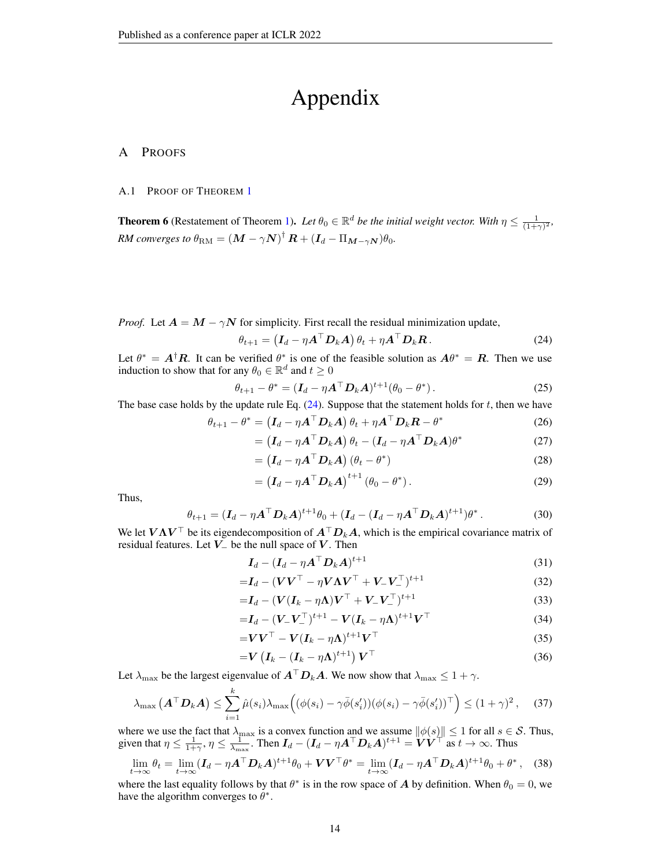# Appendix

## A PROOFS

#### <span id="page-13-0"></span>A.1 PROOF OF THEOREM [1](#page-4-2)

**Theorem 6** (Restatement of Theorem [1\)](#page-4-2). Let  $\theta_0 \in \mathbb{R}^d$  be the initial weight vector. With  $\eta \leq \frac{1}{(1+\gamma)^2}$ ,  $RM$  converges to  $\theta_{\rm RM} = \left(\bm{M} - \gamma \bm{N}\right)^{\dagger} \bm{R} + (\bm{I}_d - \Pi_{\bm{M} - \gamma \bm{N}}) \theta_0.$ 

*Proof.* Let  $A = M - \gamma N$  for simplicity. First recall the residual minimization update,

<span id="page-13-1"></span>
$$
\theta_{t+1} = \left(\boldsymbol{I}_d - \eta \boldsymbol{A}^\top \boldsymbol{D}_k \boldsymbol{A}\right) \theta_t + \eta \boldsymbol{A}^\top \boldsymbol{D}_k \boldsymbol{R}.
$$
 (24)

Let  $\theta^* = A^{\dagger}R$ . It can be verified  $\theta^*$  is one of the feasible solution as  $A\theta^* = R$ . Then we use induction to show that for any  $\theta_0 \in \mathbb{R}^d$  and  $t \geq 0$ 

$$
\theta_{t+1} - \theta^* = (\mathbf{I}_d - \eta \mathbf{A}^\top \mathbf{D}_k \mathbf{A})^{t+1} (\theta_0 - \theta^*).
$$
 (25)

The base case holds by the update rule Eq.  $(24)$ . Suppose that the statement holds for t, then we have

$$
\theta_{t+1} - \theta^* = \left(\mathbf{I}_d - \eta \mathbf{A}^\top \mathbf{D}_k \mathbf{A}\right) \theta_t + \eta \mathbf{A}^\top \mathbf{D}_k \mathbf{R} - \theta^* \tag{26}
$$

$$
= (\boldsymbol{I}_d - \eta \boldsymbol{A}^\top \boldsymbol{D}_k \boldsymbol{A}) \theta_t - (\boldsymbol{I}_d - \eta \boldsymbol{A}^\top \boldsymbol{D}_k \boldsymbol{A}) \theta^* \tag{27}
$$

$$
= (I_d - \eta A^\top D_k A) (\theta_t - \theta^*)
$$
\n(28)

$$
= \left(\boldsymbol{I}_d - \eta \boldsymbol{A}^\top \boldsymbol{D}_k \boldsymbol{A}\right)^{t+1} \left(\theta_0 - \theta^*\right). \tag{29}
$$

Thus,

$$
\theta_{t+1} = (\mathbf{I}_d - \eta \mathbf{A}^\top \mathbf{D}_k \mathbf{A})^{t+1} \theta_0 + (\mathbf{I}_d - (\mathbf{I}_d - \eta \mathbf{A}^\top \mathbf{D}_k \mathbf{A})^{t+1}) \theta^*.
$$
 (30)

We let  $V\Lambda V^{\top}$  be its eigendecomposition of  $A^{\top}D_kA$ , which is the empirical covariance matrix of residual features. Let  $\overline{V}$  be the null space of  $V$ . Then

$$
I_d - (I_d - \eta A^\top D_k A)^{t+1} \tag{31}
$$

$$
=I_d - (VV^\top - \eta V \Lambda V^\top + V_- V_-^\top)^{t+1}
$$
\n(32)

$$
=I_d - (V(I_k - \eta \Lambda)V^\top + V_-V_-^\top)^{t+1}
$$
\n(33)

$$
=I_d-(\mathbf{V}_{-}\mathbf{V}_{-}^{\top})^{t+1}-\mathbf{V}(\mathbf{I}_k-\eta\mathbf{\Lambda})^{t+1}\mathbf{V}^{\top}
$$
\n(34)

$$
= V V^{\top} - V (I_k - \eta \Lambda)^{t+1} V^{\top}
$$
\n(35)

$$
=V\left(I_k-(I_k-\eta\Lambda)^{t+1}\right)V^\top\tag{36}
$$

Let  $\lambda_{\text{max}}$  be the largest eigenvalue of  $\mathbf{A}^\top \mathbf{D}_k \mathbf{A}$ . We now show that  $\lambda_{\text{max}} \leq 1 + \gamma$ .

$$
\lambda_{\max} \left( \mathbf{A}^{\top} \mathbf{D}_k \mathbf{A} \right) \leq \sum_{i=1}^k \hat{\mu}(s_i) \lambda_{\max} \Big( (\phi(s_i) - \gamma \bar{\phi}(s'_i)) (\phi(s_i) - \gamma \bar{\phi}(s'_i))^{\top} \Big) \leq (1 + \gamma)^2 \,, \tag{37}
$$

where we use the fact that  $\lambda_{\text{max}}$  is a convex function and we assume  $\|\phi(s)\| \leq 1$  for all  $s \in \mathcal{S}$ . Thus, given that  $\eta \le \frac{1}{1+\gamma}$ ,  $\eta \le \frac{1}{\lambda_{\max}}$ . Then  $I_d - (I_d - \eta A^\top D_k A)^{t+1} = \ddot{V} \dot{V}^{\top}$  as  $t \to \infty$ . Thus

$$
\lim_{t \to \infty} \theta_t = \lim_{t \to \infty} (\mathbf{I}_d - \eta \mathbf{A}^\top \mathbf{D}_k \mathbf{A})^{t+1} \theta_0 + \mathbf{V} \mathbf{V}^\top \theta^* = \lim_{t \to \infty} (\mathbf{I}_d - \eta \mathbf{A}^\top \mathbf{D}_k \mathbf{A})^{t+1} \theta_0 + \theta^*, \quad (38)
$$

where the last equality follows by that  $\theta^*$  is in the row space of A by definition. When  $\theta_0 = 0$ , we have the algorithm converges to  $\theta^*$ .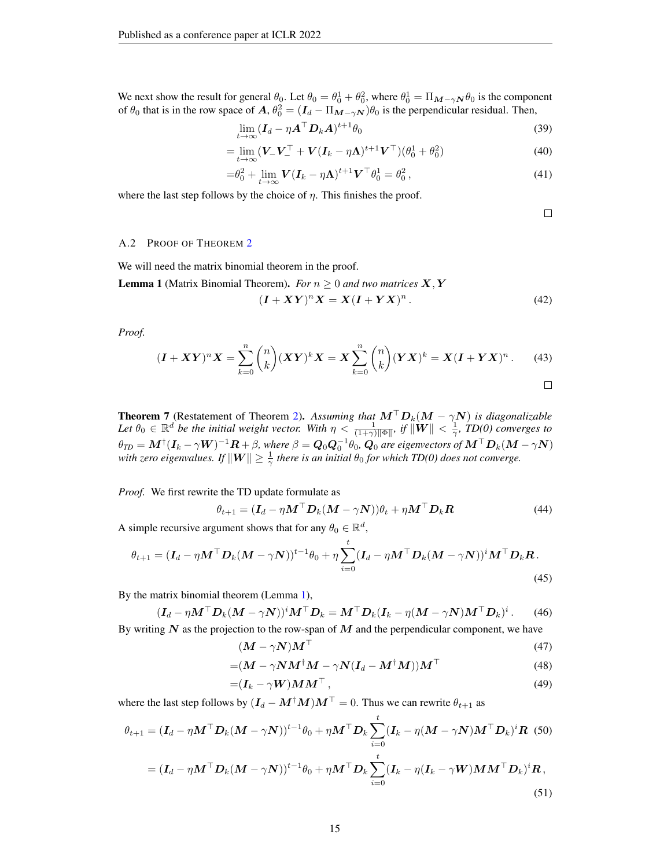We next show the result for general  $\theta_0$ . Let  $\theta_0 = \theta_0^1 + \theta_0^2$ , where  $\theta_0^1 = \Pi_{M-\gamma N} \theta_0$  is the component of  $\theta_0$  that is in the row space of  $A, \theta_0^2 = (I_d - \Pi_{M-\gamma N})\theta_0$  is the perpendicular residual. Then,

$$
\lim_{t \to \infty} (\boldsymbol{I}_d - \eta \boldsymbol{A}^\top \boldsymbol{D}_k \boldsymbol{A})^{t+1} \theta_0 \tag{39}
$$

$$
= \lim_{t \to \infty} (V_{-}V_{-}^{T} + V(I_{k} - \eta \Lambda)^{t+1}V_{-}^{T})(\theta_{0}^{1} + \theta_{0}^{2})
$$
\n(40)

$$
= \theta_0^2 + \lim_{t \to \infty} \mathbf{V} (\mathbf{I}_k - \eta \mathbf{\Lambda})^{t+1} \mathbf{V}^\top \theta_0^1 = \theta_0^2 \,, \tag{41}
$$

where the last step follows by the choice of  $\eta$ . This finishes the proof.

 $\Box$ 

#### A.2 PROOF OF THEOREM [2](#page-5-2)

We will need the matrix binomial theorem in the proof.

<span id="page-14-1"></span>**Lemma 1** (Matrix Binomial Theorem). *For*  $n \geq 0$  *and two matrices*  $X, Y$ 

$$
(\boldsymbol{I} + \boldsymbol{X}\boldsymbol{Y})^n \boldsymbol{X} = \boldsymbol{X} (\boldsymbol{I} + \boldsymbol{Y}\boldsymbol{X})^n. \tag{42}
$$

*Proof.*

$$
(\mathbf{I} + \mathbf{X}\mathbf{Y})^n \mathbf{X} = \sum_{k=0}^n {n \choose k} (\mathbf{X}\mathbf{Y})^k \mathbf{X} = \mathbf{X} \sum_{k=0}^n {n \choose k} (\mathbf{Y}\mathbf{X})^k = \mathbf{X} (\mathbf{I} + \mathbf{Y}\mathbf{X})^n.
$$
 (43)

<span id="page-14-0"></span>
$$
\qquad \qquad \Box
$$

**Theorem 7** (Restatement of Theorem [2\)](#page-5-2). Assuming that  $M^{\top}D_k(M - \gamma N)$  is diagonalizable Let  $\theta_0 \in \mathbb{R}^d$  be the initial weight vector. With  $\eta < \frac{1}{(1+\gamma)\|\Phi\|}$ , if  $\|\mathbf{W}\| < \frac{1}{\gamma}$ , TD(0) converges to  $\theta_{TD}=M^{\dagger}(I_k-\gamma W)^{-1}R+\beta,$  where  $\beta=Q_0Q_0^{-1}\theta_0$ ,  $Q_0$  are eigenvectors of  $M^\top D_k(M-\gamma N)$ with zero eigenvalues. If  $\|{\bm{W}}\|\geq \frac{1}{\gamma}$  there is an initial  $\theta_0$  for which TD(0) does not converge.

*Proof.* We first rewrite the TD update formulate as

$$
\theta_{t+1} = (\mathbf{I}_d - \eta \mathbf{M}^\top \mathbf{D}_k (\mathbf{M} - \gamma \mathbf{N})) \theta_t + \eta \mathbf{M}^\top \mathbf{D}_k \mathbf{R}
$$
(44)

A simple recursive argument shows that for any  $\theta_0 \in \mathbb{R}^d$ ,

$$
\theta_{t+1} = (\mathbf{I}_d - \eta \mathbf{M}^\top \mathbf{D}_k (\mathbf{M} - \gamma \mathbf{N}))^{t-1} \theta_0 + \eta \sum_{i=0}^t (\mathbf{I}_d - \eta \mathbf{M}^\top \mathbf{D}_k (\mathbf{M} - \gamma \mathbf{N}))^i \mathbf{M}^\top \mathbf{D}_k \mathbf{R}.
$$
\n(45)

By the matrix binomial theorem (Lemma [1\)](#page-14-1),

$$
(\boldsymbol{I}_d - \eta \boldsymbol{M}^\top \boldsymbol{D}_k (\boldsymbol{M} - \gamma \boldsymbol{N}))^i \boldsymbol{M}^\top \boldsymbol{D}_k = \boldsymbol{M}^\top \boldsymbol{D}_k (\boldsymbol{I}_k - \eta (\boldsymbol{M} - \gamma \boldsymbol{N}) \boldsymbol{M}^\top \boldsymbol{D}_k)^i. \tag{46}
$$

By writing  $N$  as the projection to the row-span of  $M$  and the perpendicular component, we have

$$
(M - \gamma N)M^{\top}
$$
 (47)

$$
=(\boldsymbol{M}-\gamma\boldsymbol{N}\boldsymbol{M}^{\dagger}\boldsymbol{M}-\gamma\boldsymbol{N}(\boldsymbol{I}_{d}-\boldsymbol{M}^{\dagger}\boldsymbol{M}))\boldsymbol{M}^{\top} \tag{48}
$$

$$
=(\boldsymbol{I}_k-\gamma\boldsymbol{W})\boldsymbol{M}\boldsymbol{M}^\top,\tag{49}
$$

where the last step follows by  $(I_d - M^{\dagger}M)M^{\top} = 0$ . Thus we can rewrite  $\theta_{t+1}$  as

$$
\theta_{t+1} = (\mathbf{I}_d - \eta \mathbf{M}^\top \mathbf{D}_k (\mathbf{M} - \gamma \mathbf{N}))^{t-1} \theta_0 + \eta \mathbf{M}^\top \mathbf{D}_k \sum_{i=0}^t (\mathbf{I}_k - \eta (\mathbf{M} - \gamma \mathbf{N}) \mathbf{M}^\top \mathbf{D}_k)^i \mathbf{R}
$$
(50)  
=  $(\mathbf{I}_d - \eta \mathbf{M}^\top \mathbf{D}_k (\mathbf{M} - \gamma \mathbf{N}))^{t-1} \theta_0 + \eta \mathbf{M}^\top \mathbf{D}_k \sum_{i=0}^t (\mathbf{I}_k - \eta (\mathbf{I}_k - \gamma \mathbf{W}) \mathbf{M} \mathbf{M}^\top \mathbf{D}_k)^i \mathbf{R}$ , (51)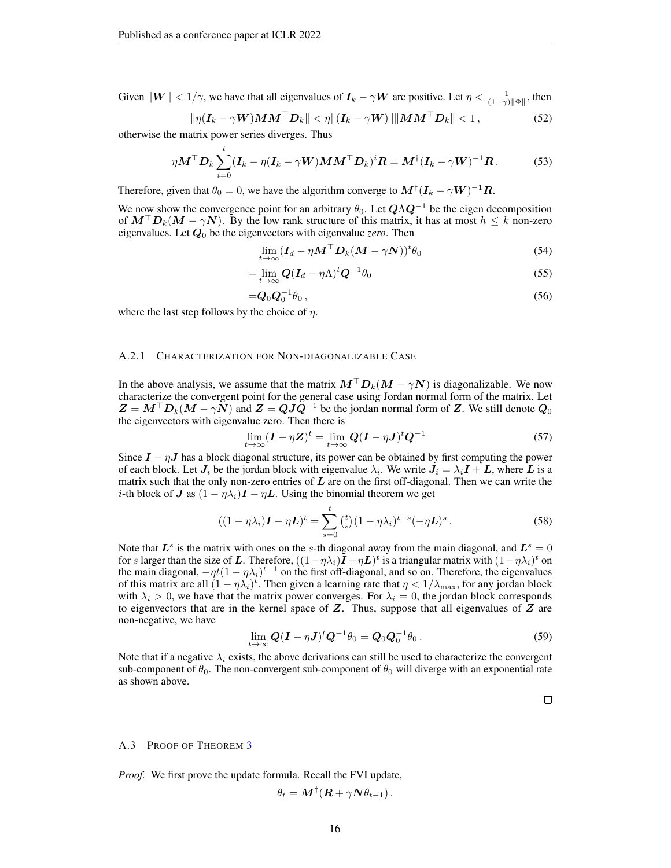Given  $\|W\| < 1/\gamma$ , we have that all eigenvalues of  $I_k - \gamma W$  are positive. Let  $\eta < \frac{1}{(1+\gamma)\|\Phi\|}$ , then

$$
\|\eta(\boldsymbol{I}_k - \gamma \boldsymbol{W})\boldsymbol{M}\boldsymbol{M}^\top \boldsymbol{D}_k\| < \eta \|(\boldsymbol{I}_k - \gamma \boldsymbol{W})\| \|\boldsymbol{M}\boldsymbol{M}^\top \boldsymbol{D}_k\| < 1\,,\tag{52}
$$

otherwise the matrix power series diverges. Thus

$$
\eta \boldsymbol{M}^{\top} \boldsymbol{D}_{k} \sum_{i=0}^{t} (\boldsymbol{I}_{k} - \eta (\boldsymbol{I}_{k} - \gamma \boldsymbol{W}) \boldsymbol{M} \boldsymbol{M}^{\top} \boldsymbol{D}_{k})^{i} \boldsymbol{R} = \boldsymbol{M}^{\dagger} (\boldsymbol{I}_{k} - \gamma \boldsymbol{W})^{-1} \boldsymbol{R}. \tag{53}
$$

Therefore, given that  $\theta_0 = 0$ , we have the algorithm converge to  $\bm{M}^\dagger(\bm{I}_k - \gamma \bm{W})^{-1}\bm{R}$ .

We now show the convergence point for an arbitrary  $\theta_0$ . Let  $\mathbf{Q} \Lambda \mathbf{Q}^{-1}$  be the eigen decomposition of  $M^{\top}D_k(M - \gamma N)$ . By the low rank structure of this matrix, it has at most  $h \leq k$  non-zero eigenvalues. Let  $Q_0$  be the eigenvectors with eigenvalue *zero*. Then

$$
\lim_{t \to \infty} (\mathbf{I}_d - \eta \mathbf{M}^\top \mathbf{D}_k (\mathbf{M} - \gamma \mathbf{N}))^t \theta_0 \tag{54}
$$

$$
=\lim_{t\to\infty} Q(I_d-\eta\Lambda)^t Q^{-1}\theta_0\tag{55}
$$

$$
=Q_0Q_0^{-1}\theta_0\,,\tag{56}
$$

where the last step follows by the choice of  $\eta$ .

## A.2.1 CHARACTERIZATION FOR NON-DIAGONALIZABLE CASE

In the above analysis, we assume that the matrix  $M<sup>T</sup>D<sub>k</sub>(M - \gamma N)$  is diagonalizable. We now characterize the convergent point for the general case using Jordan normal form of the matrix. Let  $Z = M^{\top}D_k(M - \gamma N)$  and  $Z = QJQ^{-1}$  be the jordan normal form of Z. We still denote  $Q_0$ the eigenvectors with eigenvalue zero. Then there is

$$
\lim_{t \to \infty} (\mathbf{I} - \eta \mathbf{Z})^t = \lim_{t \to \infty} \mathbf{Q} (\mathbf{I} - \eta \mathbf{J})^t \mathbf{Q}^{-1}
$$
\n(57)

Since  $I - \eta J$  has a block diagonal structure, its power can be obtained by first computing the power of each block. Let  $J_i$  be the jordan block with eigenvalue  $\lambda_i$ . We write  $J_i = \lambda_i I + L$ , where L is a matrix such that the only non-zero entries of  $L$  are on the first off-diagonal. Then we can write the *i*-th block of J as  $(1 - \eta \lambda_i)I - \eta L$ . Using the binomial theorem we get

$$
((1 - \eta \lambda_i) \mathbf{I} - \eta \mathbf{L})^t = \sum_{s=0}^t {t \choose s} (1 - \eta \lambda_i)^{t-s} (-\eta \mathbf{L})^s.
$$
 (58)

Note that  $L^s$  is the matrix with ones on the s-th diagonal away from the main diagonal, and  $L^s = 0$ for s larger than the size of L. Therefore,  $((1 - \eta \lambda_i)\tilde{I} - \eta L)^t$  is a triangular matrix with  $(1 - \eta \lambda_i)^t$  on the main diagonal,  $-\eta t(1-\eta\lambda_i)^{t-1}$  on the first off-diagonal, and so on. Therefore, the eigenvalues of this matrix are all  $(1 - \eta \lambda_i)^t$ . Then given a learning rate that  $\eta < 1/\lambda_{\max}$ , for any jordan block with  $\lambda_i > 0$ , we have that the matrix power converges. For  $\lambda_i = 0$ , the jordan block corresponds to eigenvectors that are in the kernel space of  $Z$ . Thus, suppose that all eigenvalues of  $Z$  are non-negative, we have

$$
\lim_{t\to\infty} Q(I-\eta J)^t Q^{-1}\theta_0 = Q_0 Q_0^{-1}\theta_0.
$$
\n
$$
(59)
$$

Note that if a negative  $\lambda_i$  exists, the above derivations can still be used to characterize the convergent sub-component of  $\theta_0$ . The non-convergent sub-component of  $\theta_0$  will diverge with an exponential rate as shown above.

 $\Box$ 

#### A.[3](#page-6-0) PROOF OF THEOREM 3

*Proof.* We first prove the update formula. Recall the FVI update,

$$
\theta_t = \boldsymbol{M}^\dagger (\boldsymbol{R} + \gamma \boldsymbol{N} \theta_{t-1})\,.
$$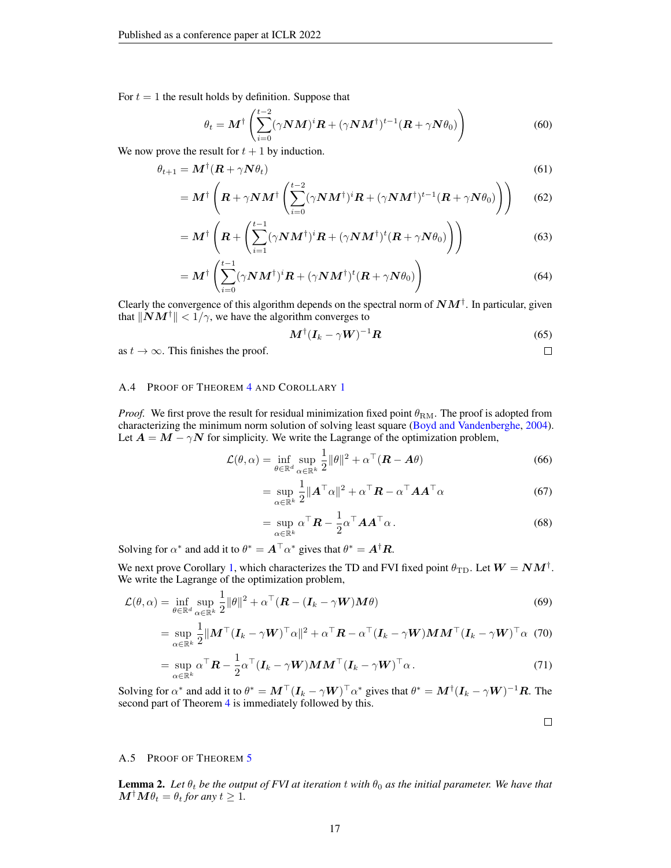For  $t = 1$  the result holds by definition. Suppose that

$$
\theta_t = \boldsymbol{M}^\dagger \left( \sum_{i=0}^{t-2} (\gamma \boldsymbol{N} \boldsymbol{M})^i \boldsymbol{R} + (\gamma \boldsymbol{N} \boldsymbol{M}^\dagger)^{t-1} (\boldsymbol{R} + \gamma \boldsymbol{N} \theta_0) \right)
$$
(60)

We now prove the result for  $t + 1$  by induction.

$$
\theta_{t+1} = \mathbf{M}^\dagger (\mathbf{R} + \gamma \mathbf{N} \theta_t) \tag{61}
$$

$$
= \boldsymbol{M}^{\dagger} \left( \boldsymbol{R} + \gamma \boldsymbol{N} \boldsymbol{M}^{\dagger} \left( \sum_{i=0}^{t-2} (\gamma \boldsymbol{N} \boldsymbol{M}^{\dagger})^i \boldsymbol{R} + (\gamma \boldsymbol{N} \boldsymbol{M}^{\dagger})^{t-1} (\boldsymbol{R} + \gamma \boldsymbol{N} \theta_0) \right) \right)
$$
(62)

$$
= \boldsymbol{M}^{\dagger} \left( \boldsymbol{R} + \left( \sum_{i=1}^{t-1} (\gamma \boldsymbol{N} \boldsymbol{M}^{\dagger})^i \boldsymbol{R} + (\gamma \boldsymbol{N} \boldsymbol{M}^{\dagger})^t (\boldsymbol{R} + \gamma \boldsymbol{N} \theta_0) \right) \right)
$$
(63)

$$
= \boldsymbol{M}^{\dagger} \left( \sum_{i=0}^{t-1} (\gamma \boldsymbol{N} \boldsymbol{M}^{\dagger})^i \boldsymbol{R} + (\gamma \boldsymbol{N} \boldsymbol{M}^{\dagger})^t (\boldsymbol{R} + \gamma \boldsymbol{N} \theta_0) \right)
$$
(64)

Clearly the convergence of this algorithm depends on the spectral norm of  $NM^{\dagger}$ . In particular, given that  $||NM^{\dagger}|| < 1/\gamma$ , we have the algorithm converges to

$$
\boldsymbol{M}^{\dagger}(\boldsymbol{I}_k - \gamma \boldsymbol{W})^{-1} \boldsymbol{R} \tag{65}
$$

as  $t \to \infty$ . This finishes the proof.

#### A.[4](#page-6-4) PROOF OF THEOREM 4 AND COROLLARY [1](#page-6-2)

*Proof.* We first prove the result for residual minimization fixed point  $\theta_{\rm RM}$ . The proof is adopted from characterizing the minimum norm solution of solving least square [\(Boyd and Vandenberghe,](#page-9-14) [2004\)](#page-9-14). Let  $A = M - \gamma N$  for simplicity. We write the Lagrange of the optimization problem,

$$
\mathcal{L}(\theta, \alpha) = \inf_{\theta \in \mathbb{R}^d} \sup_{\alpha \in \mathbb{R}^k} \frac{1}{2} ||\theta||^2 + \alpha^\top (\boldsymbol{R} - \boldsymbol{A}\theta)
$$
(66)

$$
= \sup_{\alpha \in \mathbb{R}^k} \frac{1}{2} ||\mathbf{A}^\top \alpha||^2 + \alpha^\top \mathbf{R} - \alpha^\top \mathbf{A} \mathbf{A}^\top \alpha \tag{67}
$$

$$
= \sup_{\alpha \in \mathbb{R}^k} \alpha^{\top} \boldsymbol{R} - \frac{1}{2} \alpha^{\top} \boldsymbol{A} \boldsymbol{A}^{\top} \alpha.
$$
 (68)

Solving for  $\alpha^*$  and add it to  $\theta^* = A^\top \alpha^*$  gives that  $\theta^* = A^\dagger R$ .

We next prove Corollary [1,](#page-6-2) which characterizes the TD and FVI fixed point  $\theta_{\rm TD}$ . Let  $\bm{W} = \bm{N}\bm{M}^{\dagger}$ . We write the Lagrange of the optimization problem,

$$
\mathcal{L}(\theta, \alpha) = \inf_{\theta \in \mathbb{R}^d} \sup_{\alpha \in \mathbb{R}^k} \frac{1}{2} ||\theta||^2 + \alpha^\top (\boldsymbol{R} - (\boldsymbol{I}_k - \gamma \boldsymbol{W}) \boldsymbol{M} \theta)
$$
(69)

$$
= \sup_{\alpha \in \mathbb{R}^k} \frac{1}{2} \| \boldsymbol{M}^\top (\boldsymbol{I}_k - \gamma \boldsymbol{W})^\top \alpha \|^2 + \alpha^\top \boldsymbol{R} - \alpha^\top (\boldsymbol{I}_k - \gamma \boldsymbol{W}) \boldsymbol{M} \boldsymbol{M}^\top (\boldsymbol{I}_k - \gamma \boldsymbol{W})^\top \alpha
$$
(70)

$$
= \sup_{\alpha \in \mathbb{R}^k} \alpha^{\top} \mathbf{R} - \frac{1}{2} \alpha^{\top} (\mathbf{I}_k - \gamma \mathbf{W}) \mathbf{M} \mathbf{M}^{\top} (\mathbf{I}_k - \gamma \mathbf{W})^{\top} \alpha.
$$
 (71)

Solving for  $\alpha^*$  and add it to  $\theta^* = \bm{M}^\top (\bm{I}_k - \gamma \bm{W})^\top \alpha^*$  gives that  $\theta^* = \bm{M}^\dagger (\bm{I}_k - \gamma \bm{W})^{-1} \bm{R}$ . The second part of Theorem [4](#page-6-4) is immediately followed by this.

 $\Box$ 

 $\Box$ 

## <span id="page-16-0"></span>A.5 PROOF OF THEOREM [5](#page-6-5)

<span id="page-16-1"></span>**Lemma 2.** Let  $\theta_t$  be the output of FVI at iteration t with  $\theta_0$  as the initial parameter. We have that  $M^{\dagger}M\theta_t = \theta_t$  for any  $t \geq 1$ .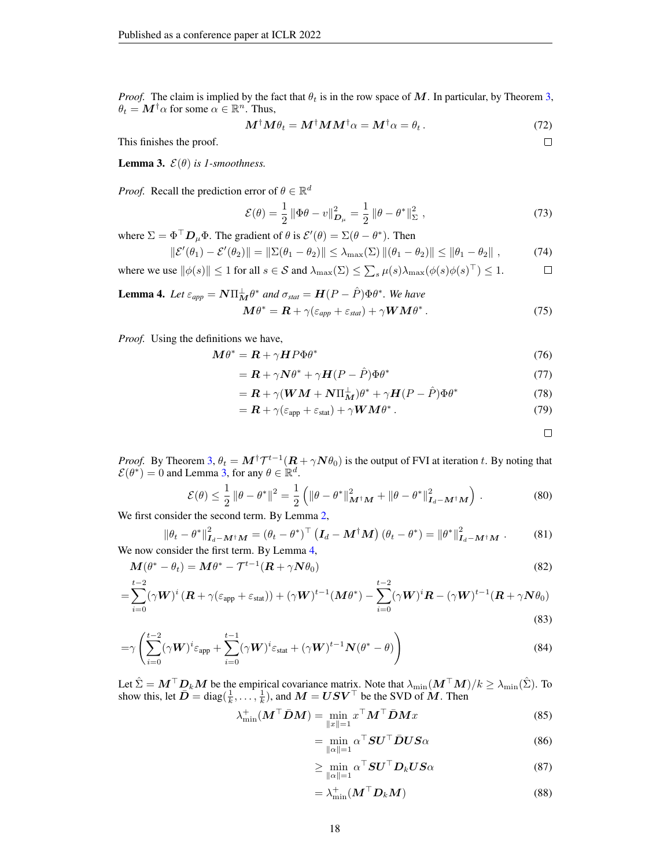*Proof.* The claim is implied by the fact that  $\theta_t$  is in the row space of M. In particular, by Theorem [3,](#page-6-0)  $\theta_t = \mathbf{M}^\dagger \alpha$  for some  $\alpha \in \mathbb{R}^n$ . Thus,

$$
\mathbf{M}^{\dagger} \mathbf{M} \theta_t = \mathbf{M}^{\dagger} \mathbf{M} \mathbf{M}^{\dagger} \alpha = \mathbf{M}^{\dagger} \alpha = \theta_t. \tag{72}
$$

This finishes the proof.

<span id="page-17-0"></span>**Lemma 3.**  $\mathcal{E}(\theta)$  *is 1-smoothness.* 

*Proof.* Recall the prediction error of  $\theta \in \mathbb{R}^d$ 

$$
\mathcal{E}(\theta) = \frac{1}{2} \left\| \Phi \theta - v \right\|_{\mathcal{D}_{\mu}}^2 = \frac{1}{2} \left\| \theta - \theta^* \right\|_{\Sigma}^2, \qquad (73)
$$

where  $\Sigma = \Phi^{\top} D_{\mu} \Phi$ . The gradient of  $\theta$  is  $\mathcal{E}'(\theta) = \Sigma(\theta - \theta^*)$ . Then

$$
\|\mathcal{E}'(\theta_1) - \mathcal{E}'(\theta_2)\| = \|\Sigma(\theta_1 - \theta_2)\| \le \lambda_{\max}(\Sigma) \|(\theta_1 - \theta_2)\| \le \|\theta_1 - \theta_2\|,
$$
 (74)

where we use  $\|\phi(s)\| \le 1$  for all  $s \in S$  and  $\lambda_{\max}(\Sigma) \le \sum_{s} \mu(s) \lambda_{\max}(\phi(s)\phi(s)^{\top}) \le 1$ .  $\Box$ 

<span id="page-17-1"></span>**Lemma 4.** Let 
$$
\varepsilon_{app} = \mathbf{N} \Pi_{\mathbf{M}}^{\perp} \theta^*
$$
 and  $\sigma_{stat} = \mathbf{H}(P - \hat{P}) \Phi \theta^*$ . We have  
\n
$$
\mathbf{M} \theta^* = \mathbf{R} + \gamma (\varepsilon_{app} + \varepsilon_{stat}) + \gamma \mathbf{W} \mathbf{M} \theta^*.
$$
\n(75)

*Proof.* Using the definitions we have,

$$
M\theta^* = R + \gamma H P \Phi \theta^* \tag{76}
$$

$$
= \mathbf{R} + \gamma \mathbf{N} \theta^* + \gamma \mathbf{H} (P - \hat{P}) \Phi \theta^* \tag{77}
$$

$$
= \mathbf{R} + \gamma (\mathbf{W}\mathbf{M} + \mathbf{N}\Pi_{\mathbf{M}}^{\perp})\theta^* + \gamma \mathbf{H}(P - \hat{P})\Phi \theta^* \tag{78}
$$

$$
= \mathbf{R} + \gamma(\varepsilon_{\rm app} + \varepsilon_{\rm stat}) + \gamma \mathbf{W} \mathbf{M} \theta^* \,. \tag{79}
$$

<span id="page-17-2"></span> $\Box$ 

 $\Box$ 

*Proof.* By Theorem [3,](#page-6-0)  $\theta_t = M^{\dagger} \mathcal{T}^{t-1} (R + \gamma N \theta_0)$  is the output of FVI at iteration t. By noting that  $\mathcal{E}(\theta^*) = 0$  and Lemma [3,](#page-17-0) for any  $\theta \in \mathbb{R}^d$ .

$$
\mathcal{E}(\theta) \le \frac{1}{2} \|\theta - \theta^*\|^2 = \frac{1}{2} \left( \|\theta - \theta^*\|_{\mathbf{M}^\dagger \mathbf{M}}^2 + \|\theta - \theta^*\|_{\mathbf{I}_d - \mathbf{M}^\dagger \mathbf{M}}^2 \right). \tag{80}
$$

We first consider the second term. By Lemma [2,](#page-16-1)

$$
\|\theta_t - \theta^*\|_{\mathbf{I}_d - \mathbf{M}^\dagger \mathbf{M}}^2 = (\theta_t - \theta^*)^\top (\mathbf{I}_d - \mathbf{M}^\dagger \mathbf{M}) (\theta_t - \theta^*) = \|\theta^*\|_{\mathbf{I}_d - \mathbf{M}^\dagger \mathbf{M}}^2.
$$
 (81)  
We now consider the first term. By Lemma 4,

$$
\mathbf{M}(\theta^* - \theta_t) = \mathbf{M}\theta^* - \mathcal{T}^{t-1}(\mathbf{R} + \gamma \mathbf{N}\theta_0)
$$
\n(82)

$$
=\sum_{i=0}^{t-2} (\gamma \boldsymbol{W})^i (\boldsymbol{R} + \gamma (\varepsilon_{\text{app}} + \varepsilon_{\text{stat}})) + (\gamma \boldsymbol{W})^{t-1} (\boldsymbol{M} \theta^*) - \sum_{i=0}^{t-2} (\gamma \boldsymbol{W})^i \boldsymbol{R} - (\gamma \boldsymbol{W})^{t-1} (\boldsymbol{R} + \gamma \boldsymbol{N} \theta_0)
$$
\n(83)

$$
=\gamma\left(\sum_{i=0}^{t-2}(\gamma W)^i\varepsilon_{\rm app}+\sum_{i=0}^{t-1}(\gamma W)^i\varepsilon_{\rm stat}+(\gamma W)^{t-1}N(\theta^*-\theta)\right)
$$
(84)

Let  $\hat{\Sigma} = \bm{M}^\top \bm{D}_k \bm{M}$  be the empirical covariance matrix. Note that  $\lambda_{\min}(\bm{M}^\top \bm{M})/k \geq \lambda_{\min}(\hat{\Sigma})$ . To show this, let  $\bar{D} = \text{diag}(\frac{1}{k}, \dots, \frac{1}{k})$ , and  $M = USV^\top$  be the SVD of M. Then

$$
\lambda_{\min}^+(M^\top \bar{D}M) = \min_{\|x\|=1} x^\top M^\top \bar{D}Mx \tag{85}
$$

$$
= \min_{\|\alpha\|=1} \alpha^{\top} \mathbf{S} \mathbf{U}^{\top} \bar{\mathbf{D}} \mathbf{U} \mathbf{S} \alpha \tag{86}
$$

$$
\geq \min_{\|\alpha\|=1} \alpha^{\top} \mathbf{S} \mathbf{U}^{\top} \mathbf{D}_k \mathbf{U} \mathbf{S} \alpha \tag{87}
$$

$$
= \lambda_{\min}^+ (M^\top D_k M) \tag{88}
$$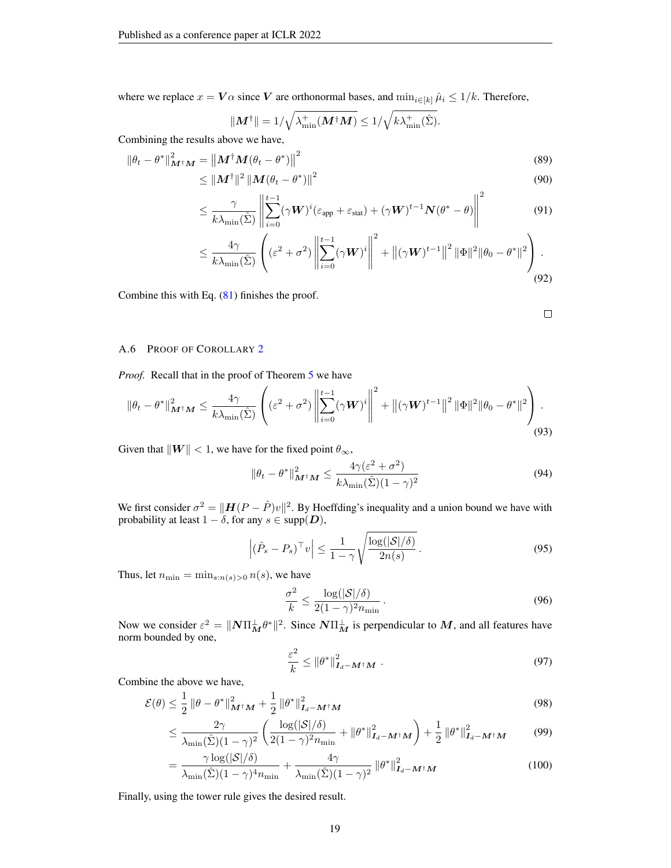where we replace  $x = V\alpha$  since V are orthonormal bases, and  $\min_{i \in [k]} \hat{\mu}_i \leq 1/k$ . Therefore,

$$
\|\boldsymbol{M}^{\dagger}\| = 1/\sqrt{\lambda_{\min}^{+}(\boldsymbol{M}^{\dagger}\boldsymbol{M})} \le 1/\sqrt{k\lambda_{\min}^{+}(\hat{\Sigma})}.
$$

Combining the results above we have,

$$
\|\theta_t - \theta^*\|_{\mathbf{M}^\dagger \mathbf{M}}^2 = \left\|\mathbf{M}^\dagger \mathbf{M}(\theta_t - \theta^*)\right\|^2
$$
\n
$$
\leq \|\mathbf{M}^\dagger\|^2 \left\|\mathbf{M}(\theta_t - \theta^*)\right\|^2
$$
\n(89)

$$
\leq \frac{\gamma}{k\lambda_{\min}(\hat{\Sigma})} \left\| \sum_{i=0}^{t-1} (\gamma \boldsymbol{W})^i (\varepsilon_{\text{app}} + \varepsilon_{\text{stat}}) + (\gamma \boldsymbol{W})^{t-1} \boldsymbol{N} (\theta^* - \theta) \right\|^2 \tag{91}
$$

$$
\leq \frac{4\gamma}{k\lambda_{\min}(\hat{\Sigma})} \left( (\varepsilon^2 + \sigma^2) \left\| \sum_{i=0}^{t-1} (\gamma \mathbf{W})^i \right\|^2 + \|(\gamma \mathbf{W})^{t-1}\|^2 \|\Phi\|^2 \|\theta_0 - \theta^*\|^2 \right). \tag{92}
$$

Combine this with Eq. [\(81\)](#page-17-2) finishes the proof.

$$
\Box
$$

### <span id="page-18-0"></span>A.6 PROOF OF COROLLARY [2](#page-7-2)

*Proof.* Recall that in the proof of Theorem [5](#page-6-5) we have

$$
\|\theta_t - \theta^*\|_{\mathbf{M}^\dagger\mathbf{M}}^2 \leq \frac{4\gamma}{k\lambda_{\min}(\hat{\Sigma})} \left( (\varepsilon^2 + \sigma^2) \left\| \sum_{i=0}^{t-1} (\gamma \mathbf{W})^i \right\|^2 + \|(\gamma \mathbf{W})^{t-1}\|^2 \|\Phi\|^2 \|\theta_0 - \theta^*\|^2 \right). \tag{93}
$$

Given that  $\|\mathbf{W}\| < 1$ , we have for the fixed point  $\theta_{\infty}$ ,

$$
\|\theta_t - \theta^*\|_{\mathbf{M}^\dagger \mathbf{M}}^2 \le \frac{4\gamma(\varepsilon^2 + \sigma^2)}{k\lambda_{\min}(\hat{\Sigma})(1 - \gamma)^2}
$$
(94)

We first consider  $\sigma^2 = ||\mathbf{H}(P - \hat{P})v||^2$ . By Hoeffding's inequality and a union bound we have with probability at least  $1 - \delta$ , for any  $s \in \text{supp}(D)$ ,

$$
\left| \left( \hat{P}_s - P_s \right)^\top v \right| \le \frac{1}{1 - \gamma} \sqrt{\frac{\log(|\mathcal{S}|/\delta)}{2n(s)}} \,. \tag{95}
$$

Thus, let  $n_{\min} = \min_{s:n(s)>0} n(s)$ , we have

$$
\frac{\sigma^2}{k} \le \frac{\log(|\mathcal{S}|/\delta)}{2(1-\gamma)^2 n_{\min}}.\tag{96}
$$

Now we consider  $\varepsilon^2 = ||N\Pi_M^{\perp}\theta^*||^2$ . Since  $N\Pi_M^{\perp}$  is perpendicular to M, and all features have norm bounded by one,

$$
\frac{\varepsilon^2}{k} \le \|\theta^*\|_{\mathbf{I}_d - \mathbf{M}^\dagger \mathbf{M}}^2 \tag{97}
$$

Combine the above we have,

$$
\mathcal{E}(\theta) \le \frac{1}{2} \left\| \theta - \theta^* \right\|_{\mathbf{M}^\dagger \mathbf{M}}^2 + \frac{1}{2} \left\| \theta^* \right\|_{\mathbf{I}_d - \mathbf{M}^\dagger \mathbf{M}}^2 \tag{98}
$$

$$
\leq \frac{2\gamma}{\lambda_{\min}(\hat{\Sigma})(1-\gamma)^2} \left( \frac{\log(|\mathcal{S}|/\delta)}{2(1-\gamma)^2 n_{\min}} + ||\theta^*||^2_{\mathbf{I}_d - \mathbf{M}^\dagger \mathbf{M}} \right) + \frac{1}{2} ||\theta^*||^2_{\mathbf{I}_d - \mathbf{M}^\dagger \mathbf{M}} \tag{99}
$$

$$
= \frac{\gamma \log(|\mathcal{S}|/\delta)}{\lambda_{\min}(\hat{\Sigma})(1-\gamma)^4 n_{\min}} + \frac{4\gamma}{\lambda_{\min}(\hat{\Sigma})(1-\gamma)^2} ||\theta^*||^2_{\mathbf{I}_d - \mathbf{M}^\dagger \mathbf{M}}
$$
(100)

Finally, using the tower rule gives the desired result.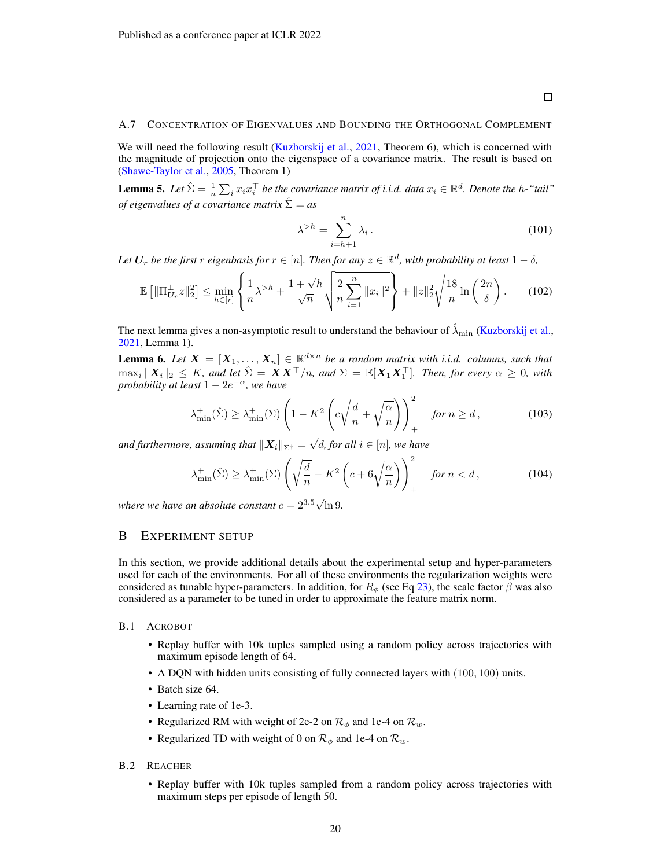#### <span id="page-19-0"></span>A.7 CONCENTRATION OF EIGENVALUES AND BOUNDING THE ORTHOGONAL COMPLEMENT

We will need the following result [\(Kuzborskij et al.,](#page-10-17) [2021,](#page-10-17) Theorem 6), which is concerned with the magnitude of projection onto the eigenspace of a covariance matrix. The result is based on [\(Shawe-Taylor et al.,](#page-11-17) [2005,](#page-11-17) Theorem 1)

**Lemma 5.** Let  $\hat{\Sigma} = \frac{1}{n} \sum_i x_i x_i^{\top}$  be the covariance matrix of i.i.d. data  $x_i \in \mathbb{R}^d$ . Denote the h-"tail" *of eigenvalues of a covariance matrix*  $\hat{\Sigma} = a s$ 

$$
\lambda^{>h} = \sum_{i=h+1}^{n} \lambda_i.
$$
\n(101)

Let  $\bm{U}_r$  be the first  $r$  eigenbasis for  $r \in [n].$  Then for any  $z \in \mathbb{R}^d$ , with probability at least  $1-\delta$ ,

$$
\mathbb{E}\left[\|\Pi_{U_r}^{\perp}z\|_{2}^{2}\right] \leq \min_{h \in [r]} \left\{\frac{1}{n}\lambda^{>h} + \frac{1+\sqrt{h}}{\sqrt{n}}\sqrt{\frac{2}{n}\sum_{i=1}^{n}||x_i||^2}\right\} + ||z||_2^2\sqrt{\frac{18}{n}\ln\left(\frac{2n}{\delta}\right)}.
$$
 (102)

The next lemma gives a non-asymptotic result to understand the behaviour of  $\lambda_{\min}$  [\(Kuzborskij et al.,](#page-10-17) [2021,](#page-10-17) Lemma 1).

**Lemma 6.** Let  $X = [X_1, \ldots, X_n] \in \mathbb{R}^{d \times n}$  be a random matrix with i.i.d. columns, such that  $\max_i \|X_i\|_2 \leq K$ *, and let*  $\hat{\Sigma} = \tilde{\bm{X}} \bm{X}^\top/n$ *, and*  $\Sigma = \mathbb{E}[\bm{X}_1 \bm{X}_1^\top]$ *. Then, for every*  $\alpha \geq 0$ *, with probability at least*  $1 - 2e^{-\alpha}$ *, we have* 

$$
\lambda_{\min}^+(\hat{\Sigma}) \ge \lambda_{\min}^+(\Sigma) \left( 1 - K^2 \left( c \sqrt{\frac{d}{n}} + \sqrt{\frac{\alpha}{n}} \right) \right)_+^2 \quad \text{for } n \ge d,
$$
 (103)

and furthermore, assuming that  $\|\boldsymbol{X}_i\|_{\Sigma^\dagger} =$  $d$ *, for all*  $i \in [n]$ *, we have* 

$$
\lambda_{\min}^+(\hat{\Sigma}) \ge \lambda_{\min}^+(\Sigma) \left( \sqrt{\frac{d}{n}} - K^2 \left( c + 6\sqrt{\frac{\alpha}{n}} \right) \right)_+^2 \quad \text{for } n < d \,, \tag{104}
$$

where we have an absolute constant  $c = 2^{3.5} \sqrt{\frac{m}{m}}$ ln 9*.*

## <span id="page-19-1"></span>B EXPERIMENT SETUP

In this section, we provide additional details about the experimental setup and hyper-parameters used for each of the environments. For all of these environments the regularization weights were considered as tunable hyper-parameters. In addition, for  $R_{\phi}$  (see Eq [23\)](#page-8-1), the scale factor  $\beta$  was also considered as a parameter to be tuned in order to approximate the feature matrix norm.

## B.1 ACROBOT

- Replay buffer with 10k tuples sampled using a random policy across trajectories with maximum episode length of 64.
- A DQN with hidden units consisting of fully connected layers with  $(100, 100)$  units.
- Batch size 64.
- Learning rate of 1e-3.
- Regularized RM with weight of 2e-2 on  $\mathcal{R}_{\phi}$  and 1e-4 on  $\mathcal{R}_{w}$ .
- Regularized TD with weight of 0 on  $\mathcal{R}_{\phi}$  and 1e-4 on  $\mathcal{R}_{w}$ .

#### B.2 REACHER

• Replay buffer with 10k tuples sampled from a random policy across trajectories with maximum steps per episode of length 50.

20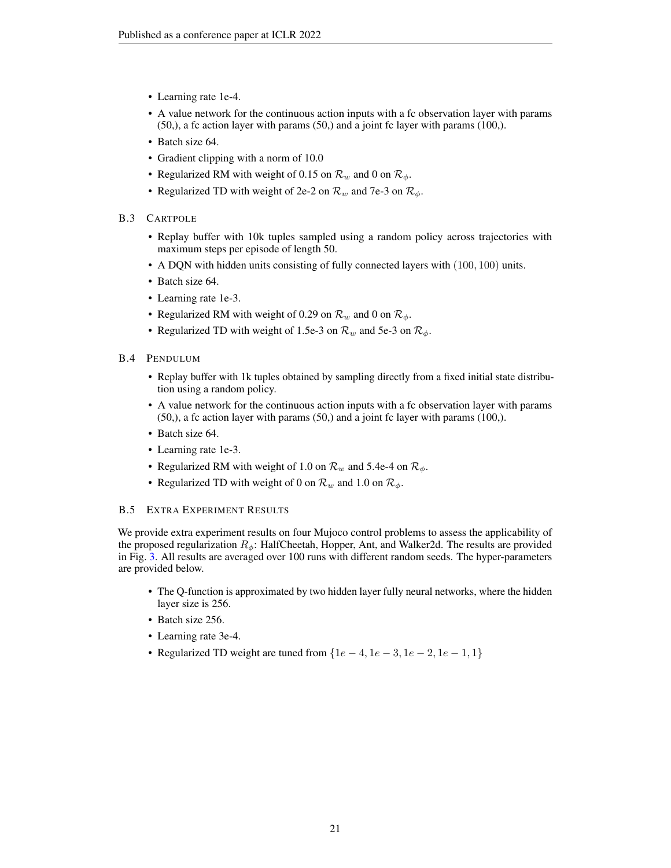- Learning rate 1e-4.
- A value network for the continuous action inputs with a fc observation layer with params (50,), a fc action layer with params (50,) and a joint fc layer with params (100,).
- Batch size 64.
- Gradient clipping with a norm of 10.0
- Regularized RM with weight of 0.15 on  $\mathcal{R}_w$  and 0 on  $\mathcal{R}_\phi$ .
- Regularized TD with weight of 2e-2 on  $\mathcal{R}_w$  and 7e-3 on  $\mathcal{R}_\phi$ .
- B.3 CARTPOLE
	- Replay buffer with 10k tuples sampled using a random policy across trajectories with maximum steps per episode of length 50.
	- A DQN with hidden units consisting of fully connected layers with (100, 100) units.
	- Batch size 64.
	- Learning rate 1e-3.
	- Regularized RM with weight of 0.29 on  $\mathcal{R}_w$  and 0 on  $\mathcal{R}_\phi$ .
	- Regularized TD with weight of 1.5e-3 on  $\mathcal{R}_w$  and 5e-3 on  $\mathcal{R}_\phi$ .
- B.4 PENDULUM
	- Replay buffer with 1k tuples obtained by sampling directly from a fixed initial state distribution using a random policy.
	- A value network for the continuous action inputs with a fc observation layer with params (50,), a fc action layer with params (50,) and a joint fc layer with params (100,).
	- Batch size 64.
	- Learning rate 1e-3.
	- Regularized RM with weight of 1.0 on  $\mathcal{R}_w$  and 5.4e-4 on  $\mathcal{R}_\phi$ .
	- Regularized TD with weight of 0 on  $\mathcal{R}_w$  and 1.0 on  $\mathcal{R}_\phi$ .

## B.5 EXTRA EXPERIMENT RESULTS

We provide extra experiment results on four Mujoco control problems to assess the applicability of the proposed regularization  $R_{\phi}$ : HalfCheetah, Hopper, Ant, and Walker2d. The results are provided in Fig. [3.](#page-21-0) All results are averaged over 100 runs with different random seeds. The hyper-parameters are provided below.

- The Q-function is approximated by two hidden layer fully neural networks, where the hidden layer size is 256.
- Batch size 256.
- Learning rate 3e-4.
- Regularized TD weight are tuned from  ${1e-4, 1e-3, 1e-2, 1e-1, 1}$